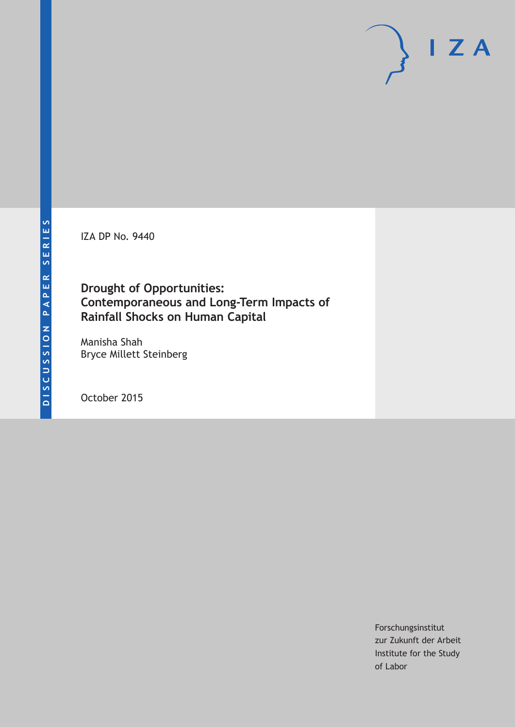IZA DP No. 9440

## **Drought of Opportunities: Contemporaneous and Long-Term Impacts of Rainfall Shocks on Human Capital**

Manisha Shah Bryce Millett Steinberg

October 2015

Forschungsinstitut zur Zukunft der Arbeit Institute for the Study of Labor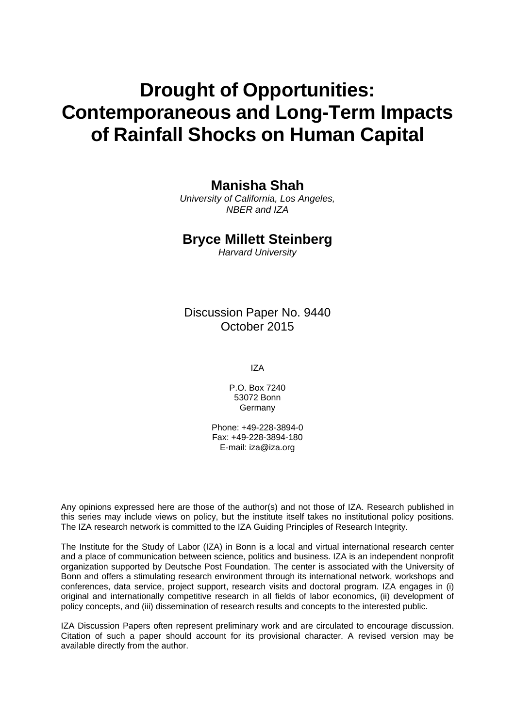# **Drought of Opportunities: Contemporaneous and Long-Term Impacts of Rainfall Shocks on Human Capital**

## **Manisha Shah**

*University of California, Los Angeles, NBER and IZA* 

## **Bryce Millett Steinberg**

*Harvard University* 

Discussion Paper No. 9440 October 2015

IZA

P.O. Box 7240 53072 Bonn Germany

Phone: +49-228-3894-0 Fax: +49-228-3894-180 E-mail: iza@iza.org

Any opinions expressed here are those of the author(s) and not those of IZA. Research published in this series may include views on policy, but the institute itself takes no institutional policy positions. The IZA research network is committed to the IZA Guiding Principles of Research Integrity.

The Institute for the Study of Labor (IZA) in Bonn is a local and virtual international research center and a place of communication between science, politics and business. IZA is an independent nonprofit organization supported by Deutsche Post Foundation. The center is associated with the University of Bonn and offers a stimulating research environment through its international network, workshops and conferences, data service, project support, research visits and doctoral program. IZA engages in (i) original and internationally competitive research in all fields of labor economics, (ii) development of policy concepts, and (iii) dissemination of research results and concepts to the interested public.

IZA Discussion Papers often represent preliminary work and are circulated to encourage discussion. Citation of such a paper should account for its provisional character. A revised version may be available directly from the author.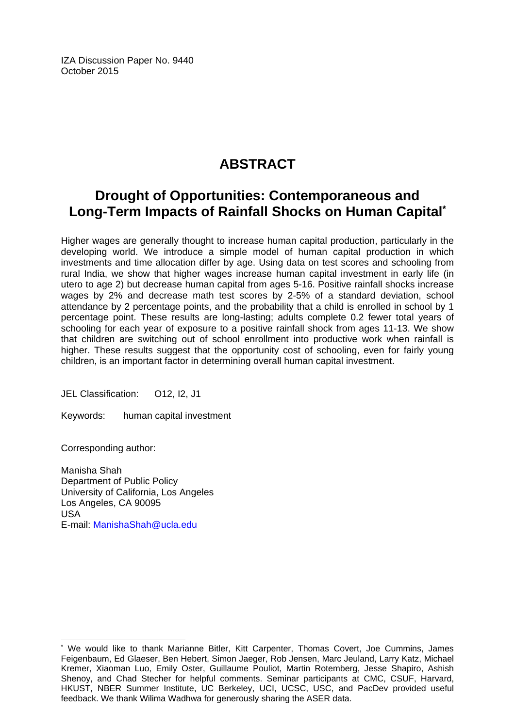IZA Discussion Paper No. 9440 October 2015

## **ABSTRACT**

## **Drought of Opportunities: Contemporaneous and Long-Term Impacts of Rainfall Shocks on Human Capital\***

Higher wages are generally thought to increase human capital production, particularly in the developing world. We introduce a simple model of human capital production in which investments and time allocation differ by age. Using data on test scores and schooling from rural India, we show that higher wages increase human capital investment in early life (in utero to age 2) but decrease human capital from ages 5-16. Positive rainfall shocks increase wages by 2% and decrease math test scores by 2-5% of a standard deviation, school attendance by 2 percentage points, and the probability that a child is enrolled in school by 1 percentage point. These results are long-lasting; adults complete 0.2 fewer total years of schooling for each year of exposure to a positive rainfall shock from ages 11-13. We show that children are switching out of school enrollment into productive work when rainfall is higher. These results suggest that the opportunity cost of schooling, even for fairly young children, is an important factor in determining overall human capital investment.

JEL Classification: O12, I2, J1

Keywords: human capital investment

Corresponding author:

 $\overline{\phantom{a}}$ 

Manisha Shah Department of Public Policy University of California, Los Angeles Los Angeles, CA 90095 USA E-mail: ManishaShah@ucla.edu

<sup>\*</sup> We would like to thank Marianne Bitler, Kitt Carpenter, Thomas Covert, Joe Cummins, James Feigenbaum, Ed Glaeser, Ben Hebert, Simon Jaeger, Rob Jensen, Marc Jeuland, Larry Katz, Michael Kremer, Xiaoman Luo, Emily Oster, Guillaume Pouliot, Martin Rotemberg, Jesse Shapiro, Ashish Shenoy, and Chad Stecher for helpful comments. Seminar participants at CMC, CSUF, Harvard, HKUST, NBER Summer Institute, UC Berkeley, UCI, UCSC, USC, and PacDev provided useful feedback. We thank Wilima Wadhwa for generously sharing the ASER data.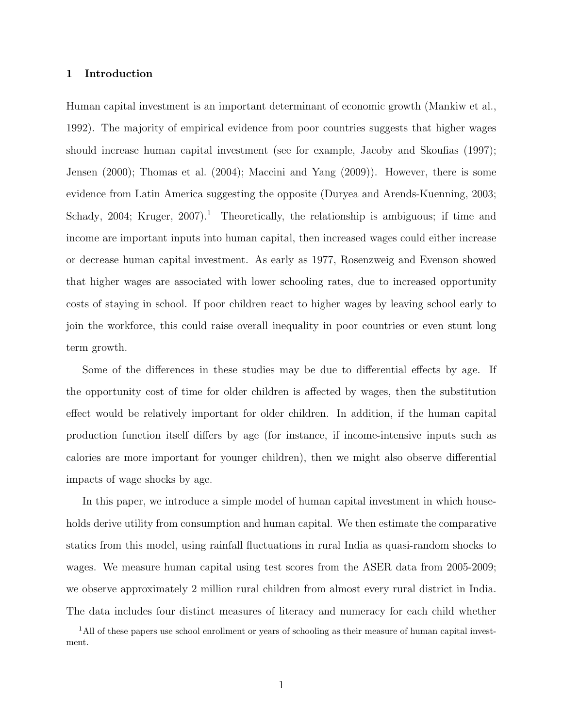#### 1 Introduction

Human capital investment is an important determinant of economic growth (Mankiw et al., 1992). The majority of empirical evidence from poor countries suggests that higher wages should increase human capital investment (see for example, Jacoby and Skoufias (1997); Jensen (2000); Thomas et al. (2004); Maccini and Yang (2009)). However, there is some evidence from Latin America suggesting the opposite (Duryea and Arends-Kuenning, 2003; Schady, 2004; Kruger, 2007).<sup>1</sup> Theoretically, the relationship is ambiguous; if time and income are important inputs into human capital, then increased wages could either increase or decrease human capital investment. As early as 1977, Rosenzweig and Evenson showed that higher wages are associated with lower schooling rates, due to increased opportunity costs of staying in school. If poor children react to higher wages by leaving school early to join the workforce, this could raise overall inequality in poor countries or even stunt long term growth.

Some of the differences in these studies may be due to differential effects by age. If the opportunity cost of time for older children is affected by wages, then the substitution effect would be relatively important for older children. In addition, if the human capital production function itself differs by age (for instance, if income-intensive inputs such as calories are more important for younger children), then we might also observe differential impacts of wage shocks by age.

In this paper, we introduce a simple model of human capital investment in which households derive utility from consumption and human capital. We then estimate the comparative statics from this model, using rainfall fluctuations in rural India as quasi-random shocks to wages. We measure human capital using test scores from the ASER data from 2005-2009; we observe approximately 2 million rural children from almost every rural district in India. The data includes four distinct measures of literacy and numeracy for each child whether

<sup>&</sup>lt;sup>1</sup>All of these papers use school enrollment or years of schooling as their measure of human capital investment.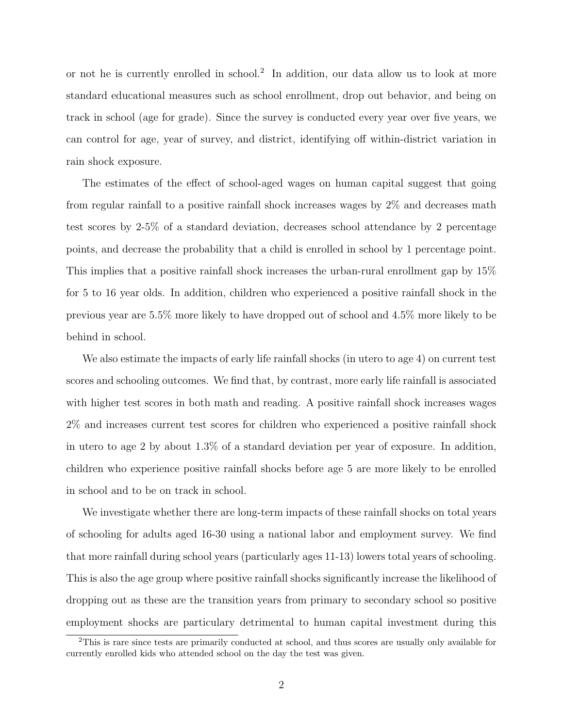or not he is currently enrolled in school.<sup>2</sup> In addition, our data allow us to look at more standard educational measures such as school enrollment, drop out behavior, and being on track in school (age for grade). Since the survey is conducted every year over five years, we can control for age, year of survey, and district, identifying off within-district variation in rain shock exposure.

The estimates of the effect of school-aged wages on human capital suggest that going from regular rainfall to a positive rainfall shock increases wages by 2% and decreases math test scores by 2-5% of a standard deviation, decreases school attendance by 2 percentage points, and decrease the probability that a child is enrolled in school by 1 percentage point. This implies that a positive rainfall shock increases the urban-rural enrollment gap by 15% for 5 to 16 year olds. In addition, children who experienced a positive rainfall shock in the previous year are 5.5% more likely to have dropped out of school and 4.5% more likely to be behind in school.

We also estimate the impacts of early life rainfall shocks (in utero to age 4) on current test scores and schooling outcomes. We find that, by contrast, more early life rainfall is associated with higher test scores in both math and reading. A positive rainfall shock increases wages 2% and increases current test scores for children who experienced a positive rainfall shock in utero to age 2 by about 1.3% of a standard deviation per year of exposure. In addition, children who experience positive rainfall shocks before age 5 are more likely to be enrolled in school and to be on track in school.

We investigate whether there are long-term impacts of these rainfall shocks on total years of schooling for adults aged 16-30 using a national labor and employment survey. We find that more rainfall during school years (particularly ages 11-13) lowers total years of schooling. This is also the age group where positive rainfall shocks significantly increase the likelihood of dropping out as these are the transition years from primary to secondary school so positive employment shocks are particulary detrimental to human capital investment during this

<sup>&</sup>lt;sup>2</sup>This is rare since tests are primarily conducted at school, and thus scores are usually only available for currently enrolled kids who attended school on the day the test was given.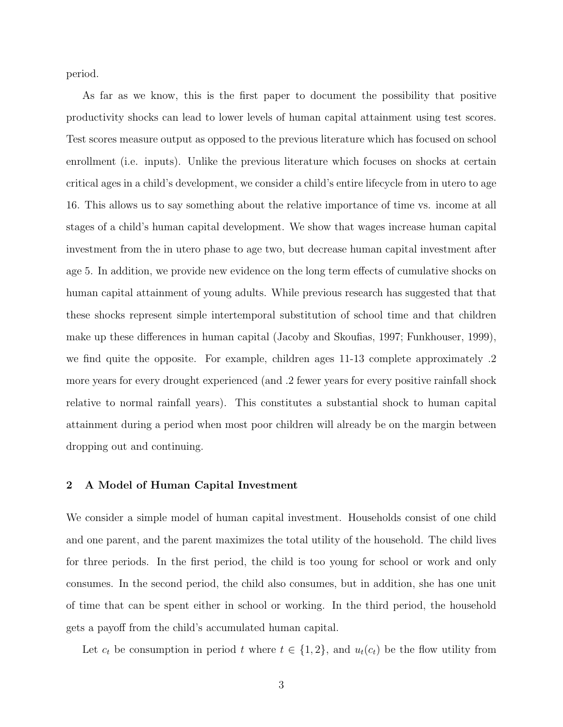period.

As far as we know, this is the first paper to document the possibility that positive productivity shocks can lead to lower levels of human capital attainment using test scores. Test scores measure output as opposed to the previous literature which has focused on school enrollment (i.e. inputs). Unlike the previous literature which focuses on shocks at certain critical ages in a child's development, we consider a child's entire lifecycle from in utero to age 16. This allows us to say something about the relative importance of time vs. income at all stages of a child's human capital development. We show that wages increase human capital investment from the in utero phase to age two, but decrease human capital investment after age 5. In addition, we provide new evidence on the long term effects of cumulative shocks on human capital attainment of young adults. While previous research has suggested that that these shocks represent simple intertemporal substitution of school time and that children make up these differences in human capital (Jacoby and Skoufias, 1997; Funkhouser, 1999), we find quite the opposite. For example, children ages 11-13 complete approximately .2 more years for every drought experienced (and .2 fewer years for every positive rainfall shock relative to normal rainfall years). This constitutes a substantial shock to human capital attainment during a period when most poor children will already be on the margin between dropping out and continuing.

#### 2 A Model of Human Capital Investment

We consider a simple model of human capital investment. Households consist of one child and one parent, and the parent maximizes the total utility of the household. The child lives for three periods. In the first period, the child is too young for school or work and only consumes. In the second period, the child also consumes, but in addition, she has one unit of time that can be spent either in school or working. In the third period, the household gets a payoff from the child's accumulated human capital.

Let  $c_t$  be consumption in period t where  $t \in \{1,2\}$ , and  $u_t(c_t)$  be the flow utility from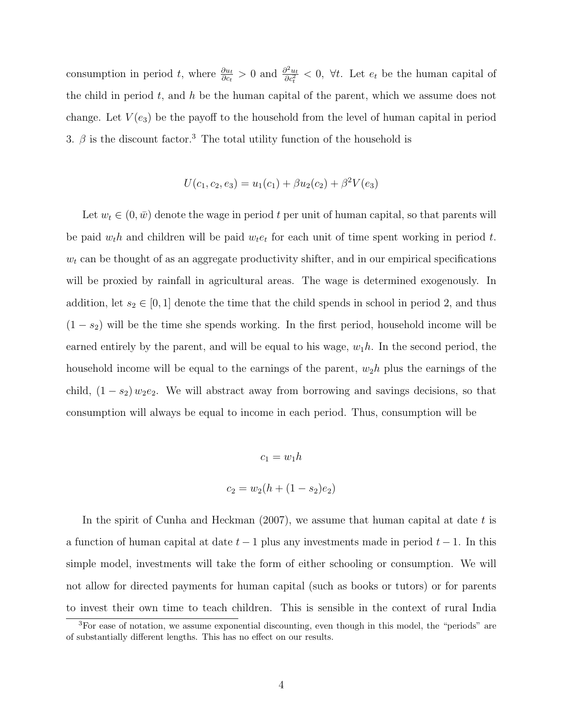consumption in period t, where  $\frac{\partial u_t}{\partial c_t} > 0$  and  $\frac{\partial^2 u_t}{\partial c_t^2}$  $\frac{\partial^2 u_t}{\partial c_t^2} < 0$ ,  $\forall t$ . Let  $e_t$  be the human capital of the child in period  $t$ , and  $h$  be the human capital of the parent, which we assume does not change. Let  $V(e_3)$  be the payoff to the household from the level of human capital in period 3.  $\beta$  is the discount factor.<sup>3</sup> The total utility function of the household is

$$
U(c_1, c_2, e_3) = u_1(c_1) + \beta u_2(c_2) + \beta^2 V(e_3)
$$

Let  $w_t \in (0, \bar{w})$  denote the wage in period t per unit of human capital, so that parents will be paid  $w_t h$  and children will be paid  $w_t e_t$  for each unit of time spent working in period t.  $w_t$  can be thought of as an aggregate productivity shifter, and in our empirical specifications will be proxied by rainfall in agricultural areas. The wage is determined exogenously. In addition, let  $s_2 \in [0,1]$  denote the time that the child spends in school in period 2, and thus  $(1 - s<sub>2</sub>)$  will be the time she spends working. In the first period, household income will be earned entirely by the parent, and will be equal to his wage,  $w_1h$ . In the second period, the household income will be equal to the earnings of the parent,  $w_2h$  plus the earnings of the child,  $(1 - s_2) w_2 e_2$ . We will abstract away from borrowing and savings decisions, so that consumption will always be equal to income in each period. Thus, consumption will be

$$
c_1 = w_1 h
$$

$$
c_2 = w_2(h + (1 - s_2)e_2)
$$

In the spirit of Cunha and Heckman  $(2007)$ , we assume that human capital at date t is a function of human capital at date  $t-1$  plus any investments made in period  $t-1$ . In this simple model, investments will take the form of either schooling or consumption. We will not allow for directed payments for human capital (such as books or tutors) or for parents to invest their own time to teach children. This is sensible in the context of rural India

<sup>&</sup>lt;sup>3</sup>For ease of notation, we assume exponential discounting, even though in this model, the "periods" are of substantially different lengths. This has no effect on our results.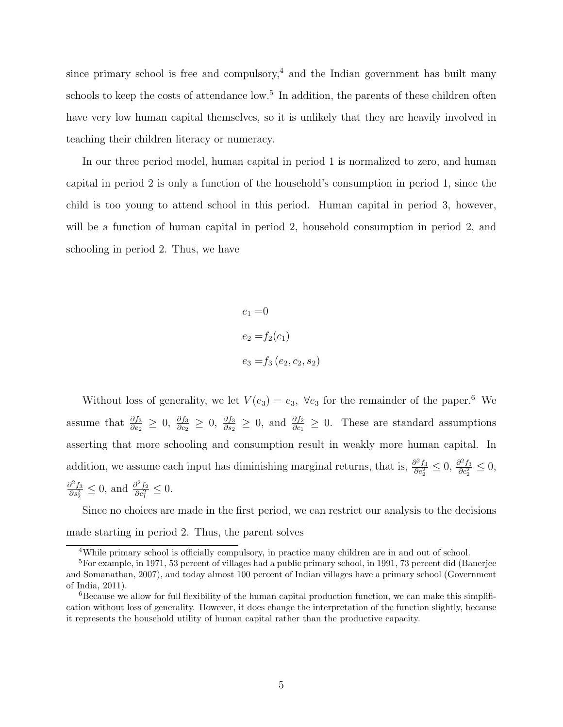since primary school is free and compulsory,<sup>4</sup> and the Indian government has built many schools to keep the costs of attendance low.<sup>5</sup> In addition, the parents of these children often have very low human capital themselves, so it is unlikely that they are heavily involved in teaching their children literacy or numeracy.

In our three period model, human capital in period 1 is normalized to zero, and human capital in period 2 is only a function of the household's consumption in period 1, since the child is too young to attend school in this period. Human capital in period 3, however, will be a function of human capital in period 2, household consumption in period 2, and schooling in period 2. Thus, we have

> $e_1 = 0$  $e_2 = f_2(c_1)$  $e_3 = f_3(e_2, c_2, s_2)$

Without loss of generality, we let  $V(e_3) = e_3$ ,  $\forall e_3$  for the remainder of the paper.<sup>6</sup> We assume that  $\frac{\partial f_3}{\partial e_2} \geq 0$ ,  $\frac{\partial f_3}{\partial e_2} \geq 0$ , and  $\frac{\partial f_2}{\partial e_1} \geq 0$ . These are standard assumptions asserting that more schooling and consumption result in weakly more human capital. In addition, we assume each input has diminishing marginal returns, that is,  $\frac{\partial^2 f_3}{\partial \epsilon^2}$  $\frac{\partial^2 f_3}{\partial e_2^2} \leq 0$ ,  $\frac{\partial^2 f_3}{\partial c_2^2}$  $rac{\partial^2 f_3}{\partial c_2^2} \leq 0,$  $\partial^2 f_3$  $\frac{\partial^2 f_3}{\partial s_2^2} \leq 0$ , and  $\frac{\partial^2 f_2}{\partial c_1^2}$  $\frac{\partial^2 f_2}{\partial c_1^2} \leq 0.$ 

Since no choices are made in the first period, we can restrict our analysis to the decisions made starting in period 2. Thus, the parent solves

<sup>&</sup>lt;sup>4</sup>While primary school is officially compulsory, in practice many children are in and out of school.

<sup>5</sup>For example, in 1971, 53 percent of villages had a public primary school, in 1991, 73 percent did (Banerjee and Somanathan, 2007), and today almost 100 percent of Indian villages have a primary school (Government of India, 2011).

 $6B$ ecause we allow for full flexibility of the human capital production function, we can make this simplification without loss of generality. However, it does change the interpretation of the function slightly, because it represents the household utility of human capital rather than the productive capacity.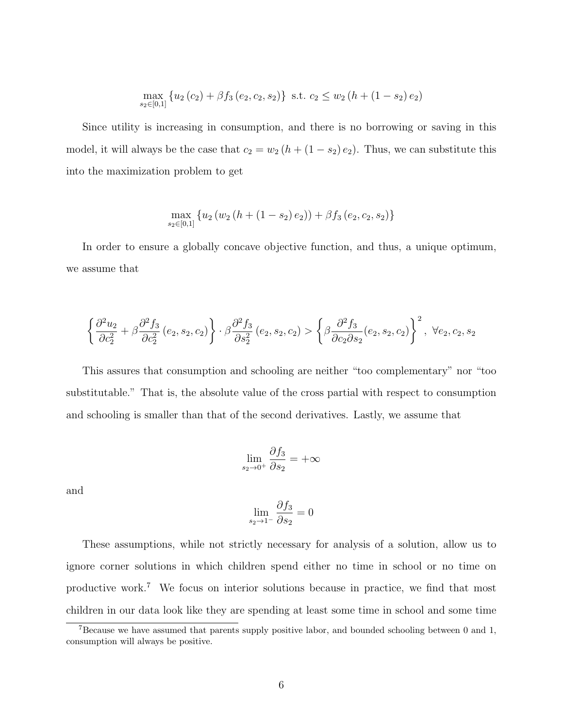$$
\max_{s_2 \in [0,1]} \left\{ u_2(c_2) + \beta f_3(e_2, c_2, s_2) \right\} \text{ s.t. } c_2 \leq w_2(h + (1 - s_2) e_2)
$$

Since utility is increasing in consumption, and there is no borrowing or saving in this model, it will always be the case that  $c_2 = w_2 (h + (1 - s_2) e_2)$ . Thus, we can substitute this into the maximization problem to get

$$
\max_{s_2 \in [0,1]} \left\{ u_2 \left( w_2 \left( h + (1 - s_2) e_2 \right) \right) + \beta f_3 \left( e_2, c_2, s_2 \right) \right\}
$$

In order to ensure a globally concave objective function, and thus, a unique optimum, we assume that

$$
\left\{\frac{\partial^2 u_2}{\partial c_2^2} + \beta \frac{\partial^2 f_3}{\partial c_2^2} (e_2, s_2, c_2)\right\} \cdot \beta \frac{\partial^2 f_3}{\partial s_2^2} (e_2, s_2, c_2) > \left\{\beta \frac{\partial^2 f_3}{\partial c_2 \partial s_2} (e_2, s_2, c_2)\right\}^2, \ \forall e_2, c_2, s_2
$$

This assures that consumption and schooling are neither "too complementary" nor "too substitutable." That is, the absolute value of the cross partial with respect to consumption and schooling is smaller than that of the second derivatives. Lastly, we assume that

$$
\lim_{s_2 \to 0^+} \frac{\partial f_3}{\partial s_2} = +\infty
$$

and

$$
\lim_{s_2 \to 1^-} \frac{\partial f_3}{\partial s_2} = 0
$$

These assumptions, while not strictly necessary for analysis of a solution, allow us to ignore corner solutions in which children spend either no time in school or no time on productive work.<sup>7</sup> We focus on interior solutions because in practice, we find that most children in our data look like they are spending at least some time in school and some time

<sup>7</sup>Because we have assumed that parents supply positive labor, and bounded schooling between 0 and 1, consumption will always be positive.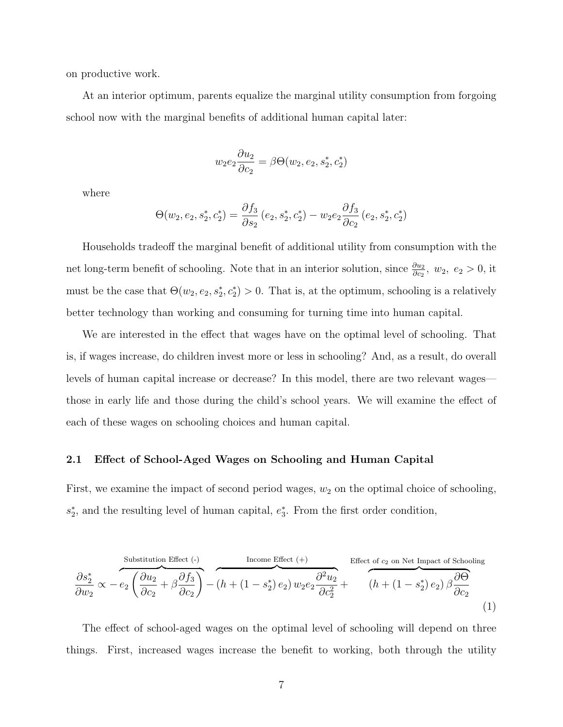on productive work.

At an interior optimum, parents equalize the marginal utility consumption from forgoing school now with the marginal benefits of additional human capital later:

$$
w_2e_2\frac{\partial u_2}{\partial c_2} = \beta\Theta(w_2, e_2, s_2^*, c_2^*)
$$

where

$$
\Theta(w_2, e_2, s_2^*, c_2^*) = \frac{\partial f_3}{\partial s_2} (e_2, s_2^*, c_2^*) - w_2 e_2 \frac{\partial f_3}{\partial c_2} (e_2, s_2^*, c_2^*)
$$

Households tradeoff the marginal benefit of additional utility from consumption with the net long-term benefit of schooling. Note that in an interior solution, since  $\frac{\partial u_2}{\partial c_2}$ ,  $w_2$ ,  $e_2 > 0$ , it must be the case that  $\Theta(w_2, e_2, s_2^*, c_2^*) > 0$ . That is, at the optimum, schooling is a relatively better technology than working and consuming for turning time into human capital.

We are interested in the effect that wages have on the optimal level of schooling. That is, if wages increase, do children invest more or less in schooling? And, as a result, do overall levels of human capital increase or decrease? In this model, there are two relevant wages those in early life and those during the child's school years. We will examine the effect of each of these wages on schooling choices and human capital.

#### 2.1 Effect of School-Aged Wages on Schooling and Human Capital

First, we examine the impact of second period wages,  $w_2$  on the optimal choice of schooling,  $s_2^*$ , and the resulting level of human capital,  $e_3^*$ . From the first order condition,

Substitution Effect (-)  
\n
$$
\frac{\partial s_2^*}{\partial w_2} \propto -e_2 \left( \frac{\partial u_2}{\partial c_2} + \beta \frac{\partial f_3}{\partial c_2} \right) - (h + (1 - s_2^*) e_2) w_2 e_2 \frac{\partial^2 u_2}{\partial c_2^2} + \overbrace{(h + (1 - s_2^*) e_2) \beta \frac{\partial \Theta}{\partial c_2}}^{Effect of c_2 on Net Impact of Schooling}
$$
\n(1)

The effect of school-aged wages on the optimal level of schooling will depend on three things. First, increased wages increase the benefit to working, both through the utility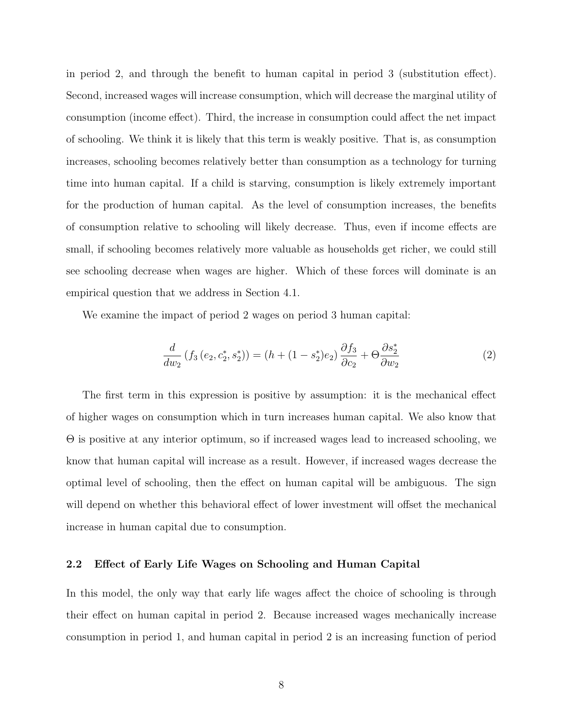in period 2, and through the benefit to human capital in period 3 (substitution effect). Second, increased wages will increase consumption, which will decrease the marginal utility of consumption (income effect). Third, the increase in consumption could affect the net impact of schooling. We think it is likely that this term is weakly positive. That is, as consumption increases, schooling becomes relatively better than consumption as a technology for turning time into human capital. If a child is starving, consumption is likely extremely important for the production of human capital. As the level of consumption increases, the benefits of consumption relative to schooling will likely decrease. Thus, even if income effects are small, if schooling becomes relatively more valuable as households get richer, we could still see schooling decrease when wages are higher. Which of these forces will dominate is an empirical question that we address in Section 4.1.

We examine the impact of period 2 wages on period 3 human capital:

$$
\frac{d}{dw_2} \left( f_3 \left( e_2, c_2^*, s_2^* \right) \right) = \left( h + (1 - s_2^*) e_2 \right) \frac{\partial f_3}{\partial c_2} + \Theta \frac{\partial s_2^*}{\partial w_2} \tag{2}
$$

The first term in this expression is positive by assumption: it is the mechanical effect of higher wages on consumption which in turn increases human capital. We also know that Θ is positive at any interior optimum, so if increased wages lead to increased schooling, we know that human capital will increase as a result. However, if increased wages decrease the optimal level of schooling, then the effect on human capital will be ambiguous. The sign will depend on whether this behavioral effect of lower investment will offset the mechanical increase in human capital due to consumption.

#### 2.2 Effect of Early Life Wages on Schooling and Human Capital

In this model, the only way that early life wages affect the choice of schooling is through their effect on human capital in period 2. Because increased wages mechanically increase consumption in period 1, and human capital in period 2 is an increasing function of period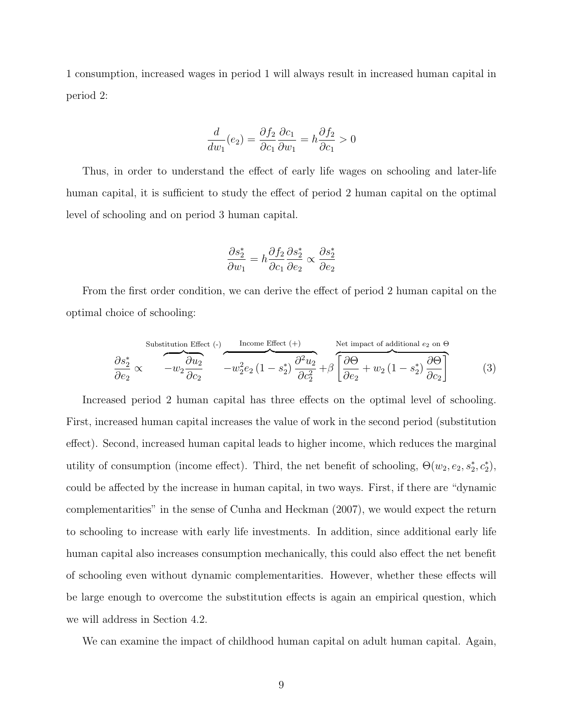1 consumption, increased wages in period 1 will always result in increased human capital in period 2:

$$
\frac{d}{dw_1}(e_2) = \frac{\partial f_2}{\partial c_1} \frac{\partial c_1}{\partial w_1} = h \frac{\partial f_2}{\partial c_1} > 0
$$

Thus, in order to understand the effect of early life wages on schooling and later-life human capital, it is sufficient to study the effect of period 2 human capital on the optimal level of schooling and on period 3 human capital.

$$
\frac{\partial s_2^*}{\partial w_1} = h \frac{\partial f_2}{\partial c_1} \frac{\partial s_2^*}{\partial e_2} \propto \frac{\partial s_2^*}{\partial e_2}
$$

From the first order condition, we can derive the effect of period 2 human capital on the optimal choice of schooling:

Substitution Effect (-)\n
$$
\frac{\partial s_2^*}{\partial e_2} \propto -w_2 \frac{\partial u_2}{\partial c_2} \qquad\n-\frac{v_2^2 e_2 (1 - s_2^*)}{w_2^2 e_2 (1 - s_2^*)} \frac{\partial^2 u_2}{\partial c_2^2} + \beta \left[ \frac{\partial \Theta}{\partial e_2} + w_2 (1 - s_2^*) \frac{\partial \Theta}{\partial c_2} \right] \tag{3}
$$

Increased period 2 human capital has three effects on the optimal level of schooling. First, increased human capital increases the value of work in the second period (substitution effect). Second, increased human capital leads to higher income, which reduces the marginal utility of consumption (income effect). Third, the net benefit of schooling,  $\Theta(w_2, e_2, s_2^*, c_2^*),$ could be affected by the increase in human capital, in two ways. First, if there are "dynamic complementarities" in the sense of Cunha and Heckman (2007), we would expect the return to schooling to increase with early life investments. In addition, since additional early life human capital also increases consumption mechanically, this could also effect the net benefit of schooling even without dynamic complementarities. However, whether these effects will be large enough to overcome the substitution effects is again an empirical question, which we will address in Section 4.2.

We can examine the impact of childhood human capital on adult human capital. Again,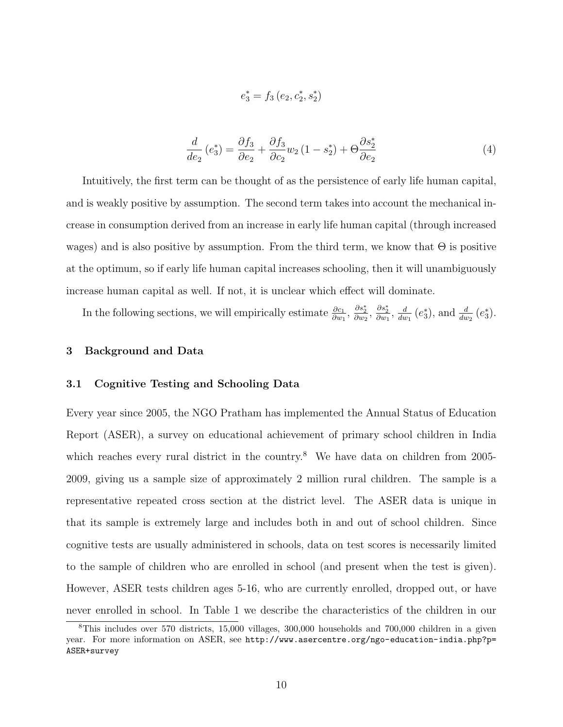$$
e_3^* = f_3\,(e_2, c_2^*, s_2^*)
$$

$$
\frac{d}{de_2}(e_3^*) = \frac{\partial f_3}{\partial e_2} + \frac{\partial f_3}{\partial c_2}w_2(1 - s_2^*) + \Theta \frac{\partial s_2^*}{\partial e_2}
$$
(4)

Intuitively, the first term can be thought of as the persistence of early life human capital, and is weakly positive by assumption. The second term takes into account the mechanical increase in consumption derived from an increase in early life human capital (through increased wages) and is also positive by assumption. From the third term, we know that  $\Theta$  is positive at the optimum, so if early life human capital increases schooling, then it will unambiguously increase human capital as well. If not, it is unclear which effect will dominate.

In the following sections, we will empirically estimate  $\frac{\partial c_1}{\partial w_1}$ ,  $\frac{\partial s_2^*}{\partial w_2}$ ,  $\frac{\partial s_2^*}{\partial w_1}$ ,  $\frac{d}{du}$  $\frac{d}{dw_1}$  (e<sup>\*</sup><sub>3</sub>), and  $\frac{d}{dw_2}$  (e<sup>\*</sup><sub>3</sub>).

#### 3 Background and Data

#### 3.1 Cognitive Testing and Schooling Data

Every year since 2005, the NGO Pratham has implemented the Annual Status of Education Report (ASER), a survey on educational achievement of primary school children in India which reaches every rural district in the country.<sup>8</sup> We have data on children from 2005-2009, giving us a sample size of approximately 2 million rural children. The sample is a representative repeated cross section at the district level. The ASER data is unique in that its sample is extremely large and includes both in and out of school children. Since cognitive tests are usually administered in schools, data on test scores is necessarily limited to the sample of children who are enrolled in school (and present when the test is given). However, ASER tests children ages 5-16, who are currently enrolled, dropped out, or have never enrolled in school. In Table 1 we describe the characteristics of the children in our

<sup>8</sup>This includes over 570 districts, 15,000 villages, 300,000 households and 700,000 children in a given year. For more information on ASER, see http://www.asercentre.org/ngo-education-india.php?p= ASER+survey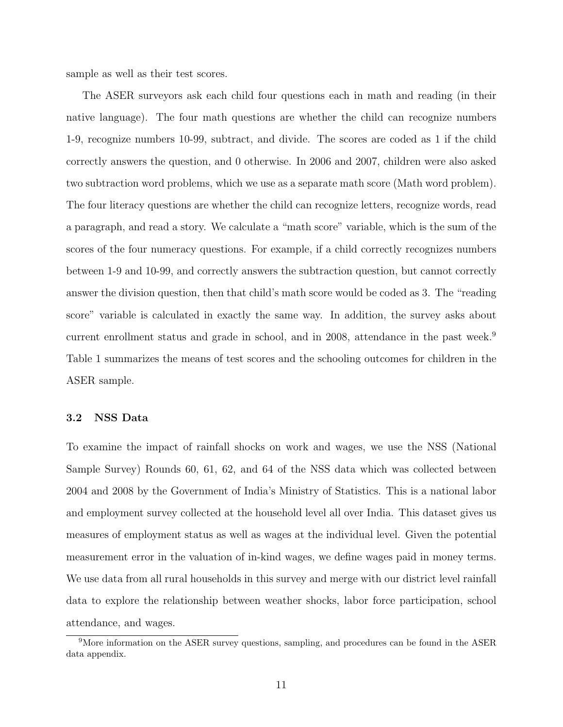sample as well as their test scores.

The ASER surveyors ask each child four questions each in math and reading (in their native language). The four math questions are whether the child can recognize numbers 1-9, recognize numbers 10-99, subtract, and divide. The scores are coded as 1 if the child correctly answers the question, and 0 otherwise. In 2006 and 2007, children were also asked two subtraction word problems, which we use as a separate math score (Math word problem). The four literacy questions are whether the child can recognize letters, recognize words, read a paragraph, and read a story. We calculate a "math score" variable, which is the sum of the scores of the four numeracy questions. For example, if a child correctly recognizes numbers between 1-9 and 10-99, and correctly answers the subtraction question, but cannot correctly answer the division question, then that child's math score would be coded as 3. The "reading score" variable is calculated in exactly the same way. In addition, the survey asks about current enrollment status and grade in school, and in 2008, attendance in the past week.<sup>9</sup> Table 1 summarizes the means of test scores and the schooling outcomes for children in the ASER sample.

#### 3.2 NSS Data

To examine the impact of rainfall shocks on work and wages, we use the NSS (National Sample Survey) Rounds 60, 61, 62, and 64 of the NSS data which was collected between 2004 and 2008 by the Government of India's Ministry of Statistics. This is a national labor and employment survey collected at the household level all over India. This dataset gives us measures of employment status as well as wages at the individual level. Given the potential measurement error in the valuation of in-kind wages, we define wages paid in money terms. We use data from all rural households in this survey and merge with our district level rainfall data to explore the relationship between weather shocks, labor force participation, school attendance, and wages.

<sup>&</sup>lt;sup>9</sup>More information on the ASER survey questions, sampling, and procedures can be found in the ASER data appendix.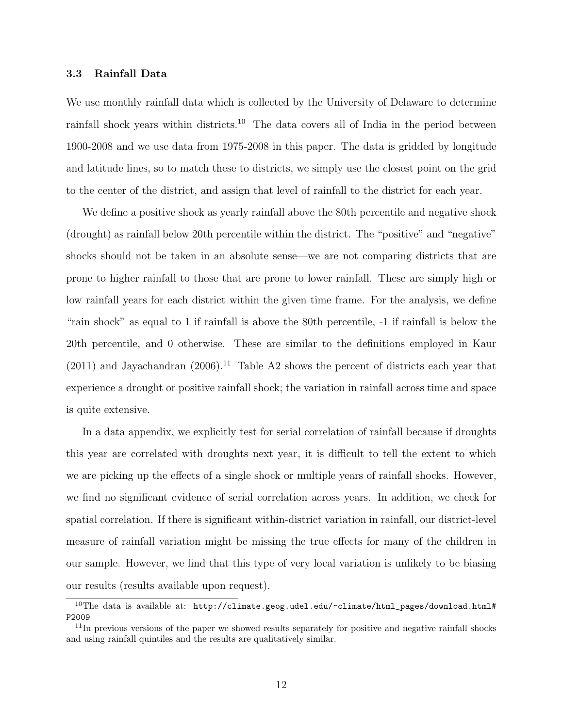#### 3.3 Rainfall Data

We use monthly rainfall data which is collected by the University of Delaware to determine rainfall shock years within districts.<sup>10</sup> The data covers all of India in the period between 1900-2008 and we use data from 1975-2008 in this paper. The data is gridded by longitude and latitude lines, so to match these to districts, we simply use the closest point on the grid to the center of the district, and assign that level of rainfall to the district for each year.

We define a positive shock as yearly rainfall above the 80th percentile and negative shock (drought) as rainfall below 20th percentile within the district. The "positive" and "negative" shocks should not be taken in an absolute sense—we are not comparing districts that are prone to higher rainfall to those that are prone to lower rainfall. These are simply high or low rainfall years for each district within the given time frame. For the analysis, we define "rain shock" as equal to 1 if rainfall is above the 80th percentile, -1 if rainfall is below the 20th percentile, and 0 otherwise. These are similar to the definitions employed in Kaur  $(2011)$  and Jayachandran  $(2006).$ <sup>11</sup> Table A2 shows the percent of districts each year that experience a drought or positive rainfall shock; the variation in rainfall across time and space is quite extensive.

In a data appendix, we explicitly test for serial correlation of rainfall because if droughts this year are correlated with droughts next year, it is difficult to tell the extent to which we are picking up the effects of a single shock or multiple years of rainfall shocks. However, we find no significant evidence of serial correlation across years. In addition, we check for spatial correlation. If there is significant within-district variation in rainfall, our district-level measure of rainfall variation might be missing the true effects for many of the children in our sample. However, we find that this type of very local variation is unlikely to be biasing our results (results available upon request).

 $10$ The data is available at: http://climate.geog.udel.edu/~climate/html\_pages/download.html# P2009

 $11$ In previous versions of the paper we showed results separately for positive and negative rainfall shocks and using rainfall quintiles and the results are qualitatively similar.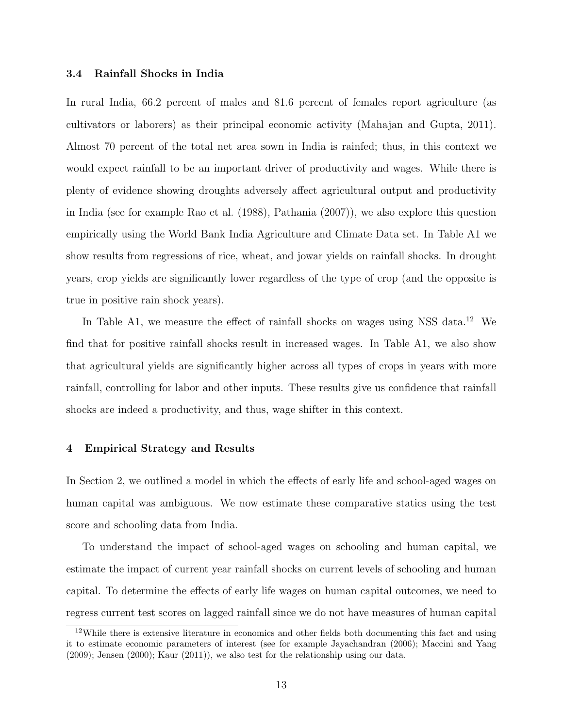#### 3.4 Rainfall Shocks in India

In rural India, 66.2 percent of males and 81.6 percent of females report agriculture (as cultivators or laborers) as their principal economic activity (Mahajan and Gupta, 2011). Almost 70 percent of the total net area sown in India is rainfed; thus, in this context we would expect rainfall to be an important driver of productivity and wages. While there is plenty of evidence showing droughts adversely affect agricultural output and productivity in India (see for example Rao et al. (1988), Pathania (2007)), we also explore this question empirically using the World Bank India Agriculture and Climate Data set. In Table A1 we show results from regressions of rice, wheat, and jowar yields on rainfall shocks. In drought years, crop yields are significantly lower regardless of the type of crop (and the opposite is true in positive rain shock years).

In Table A1, we measure the effect of rainfall shocks on wages using NSS data.<sup>12</sup> We find that for positive rainfall shocks result in increased wages. In Table A1, we also show that agricultural yields are significantly higher across all types of crops in years with more rainfall, controlling for labor and other inputs. These results give us confidence that rainfall shocks are indeed a productivity, and thus, wage shifter in this context.

#### 4 Empirical Strategy and Results

In Section 2, we outlined a model in which the effects of early life and school-aged wages on human capital was ambiguous. We now estimate these comparative statics using the test score and schooling data from India.

To understand the impact of school-aged wages on schooling and human capital, we estimate the impact of current year rainfall shocks on current levels of schooling and human capital. To determine the effects of early life wages on human capital outcomes, we need to regress current test scores on lagged rainfall since we do not have measures of human capital

<sup>&</sup>lt;sup>12</sup>While there is extensive literature in economics and other fields both documenting this fact and using it to estimate economic parameters of interest (see for example Jayachandran (2006); Maccini and Yang (2009); Jensen (2000); Kaur (2011)), we also test for the relationship using our data.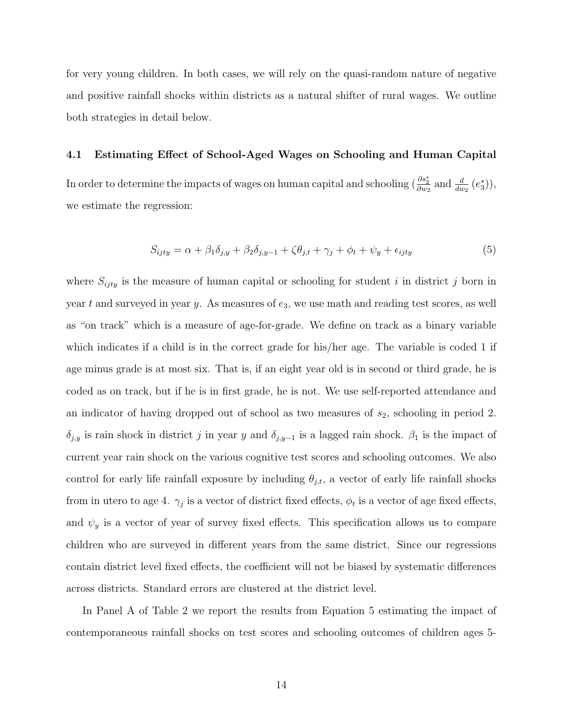for very young children. In both cases, we will rely on the quasi-random nature of negative and positive rainfall shocks within districts as a natural shifter of rural wages. We outline both strategies in detail below.

#### 4.1 Estimating Effect of School-Aged Wages on Schooling and Human Capital

In order to determine the impacts of wages on human capital and schooling  $\left(\frac{\partial s_2^*}{\partial w_2} \text{ and } \frac{d}{dw_2} (e_3^*)\right)$ , we estimate the regression:

$$
S_{ijty} = \alpha + \beta_1 \delta_{j,y} + \beta_2 \delta_{j,y-1} + \zeta \theta_{j,t} + \gamma_j + \phi_t + \psi_y + \epsilon_{ijty}
$$
(5)

where  $S_{ijty}$  is the measure of human capital or schooling for student i in district j born in year t and surveyed in year y. As measures of  $e_3$ , we use math and reading test scores, as well as "on track" which is a measure of age-for-grade. We define on track as a binary variable which indicates if a child is in the correct grade for his/her age. The variable is coded 1 if age minus grade is at most six. That is, if an eight year old is in second or third grade, he is coded as on track, but if he is in first grade, he is not. We use self-reported attendance and an indicator of having dropped out of school as two measures of  $s_2$ , schooling in period 2.  $\delta_{j,y}$  is rain shock in district j in year y and  $\delta_{j,y-1}$  is a lagged rain shock.  $\beta_1$  is the impact of current year rain shock on the various cognitive test scores and schooling outcomes. We also control for early life rainfall exposure by including  $\theta_{j,t}$ , a vector of early life rainfall shocks from in utero to age 4.  $\gamma_j$  is a vector of district fixed effects,  $\phi_t$  is a vector of age fixed effects, and  $\psi_y$  is a vector of year of survey fixed effects. This specification allows us to compare children who are surveyed in different years from the same district. Since our regressions contain district level fixed effects, the coefficient will not be biased by systematic differences across districts. Standard errors are clustered at the district level.

In Panel A of Table 2 we report the results from Equation 5 estimating the impact of contemporaneous rainfall shocks on test scores and schooling outcomes of children ages 5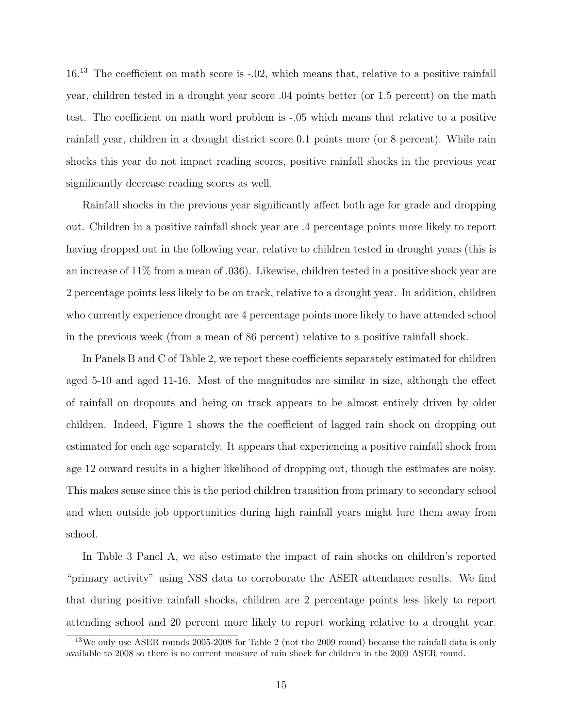16.<sup>13</sup> The coefficient on math score is -.02, which means that, relative to a positive rainfall year, children tested in a drought year score .04 points better (or 1.5 percent) on the math test. The coefficient on math word problem is -.05 which means that relative to a positive rainfall year, children in a drought district score 0.1 points more (or 8 percent). While rain shocks this year do not impact reading scores, positive rainfall shocks in the previous year significantly decrease reading scores as well.

Rainfall shocks in the previous year significantly affect both age for grade and dropping out. Children in a positive rainfall shock year are .4 percentage points more likely to report having dropped out in the following year, relative to children tested in drought years (this is an increase of 11% from a mean of .036). Likewise, children tested in a positive shock year are 2 percentage points less likely to be on track, relative to a drought year. In addition, children who currently experience drought are 4 percentage points more likely to have attended school in the previous week (from a mean of 86 percent) relative to a positive rainfall shock.

In Panels B and C of Table 2, we report these coefficients separately estimated for children aged 5-10 and aged 11-16. Most of the magnitudes are similar in size, although the effect of rainfall on dropouts and being on track appears to be almost entirely driven by older children. Indeed, Figure 1 shows the the coefficient of lagged rain shock on dropping out estimated for each age separately. It appears that experiencing a positive rainfall shock from age 12 onward results in a higher likelihood of dropping out, though the estimates are noisy. This makes sense since this is the period children transition from primary to secondary school and when outside job opportunities during high rainfall years might lure them away from school.

In Table 3 Panel A, we also estimate the impact of rain shocks on children's reported "primary activity" using NSS data to corroborate the ASER attendance results. We find that during positive rainfall shocks, children are 2 percentage points less likely to report attending school and 20 percent more likely to report working relative to a drought year.

<sup>13</sup>We only use ASER rounds 2005-2008 for Table 2 (not the 2009 round) because the rainfall data is only available to 2008 so there is no current measure of rain shock for children in the 2009 ASER round.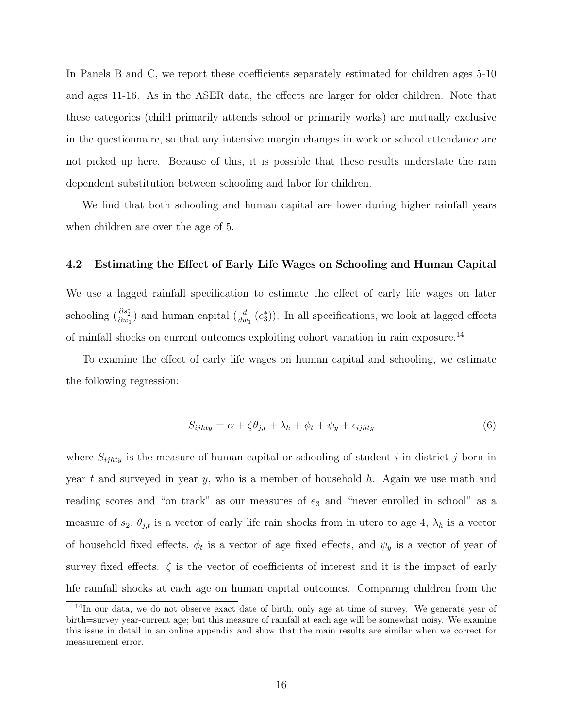In Panels B and C, we report these coefficients separately estimated for children ages 5-10 and ages 11-16. As in the ASER data, the effects are larger for older children. Note that these categories (child primarily attends school or primarily works) are mutually exclusive in the questionnaire, so that any intensive margin changes in work or school attendance are not picked up here. Because of this, it is possible that these results understate the rain dependent substitution between schooling and labor for children.

We find that both schooling and human capital are lower during higher rainfall years when children are over the age of 5.

#### 4.2 Estimating the Effect of Early Life Wages on Schooling and Human Capital

We use a lagged rainfall specification to estimate the effect of early life wages on later schooling  $(\frac{\partial s_2^*}{\partial w_1})$  and human capital  $(\frac{d}{dw_1}(e_3^*))$ . In all specifications, we look at lagged effects of rainfall shocks on current outcomes exploiting cohort variation in rain exposure.<sup>14</sup>

To examine the effect of early life wages on human capital and schooling, we estimate the following regression:

$$
S_{ijhty} = \alpha + \zeta \theta_{j,t} + \lambda_h + \phi_t + \psi_y + \epsilon_{ijhty}
$$
\n<sup>(6)</sup>

where  $S_{ijhty}$  is the measure of human capital or schooling of student i in district j born in year  $t$  and surveyed in year  $y$ , who is a member of household  $h$ . Again we use math and reading scores and "on track" as our measures of  $e_3$  and "never enrolled in school" as a measure of  $s_2$ .  $\theta_{j,t}$  is a vector of early life rain shocks from in utero to age 4,  $\lambda_h$  is a vector of household fixed effects,  $\phi_t$  is a vector of age fixed effects, and  $\psi_y$  is a vector of year of survey fixed effects.  $\zeta$  is the vector of coefficients of interest and it is the impact of early life rainfall shocks at each age on human capital outcomes. Comparing children from the

<sup>14</sup>In our data, we do not observe exact date of birth, only age at time of survey. We generate year of birth=survey year-current age; but this measure of rainfall at each age will be somewhat noisy. We examine this issue in detail in an online appendix and show that the main results are similar when we correct for measurement error.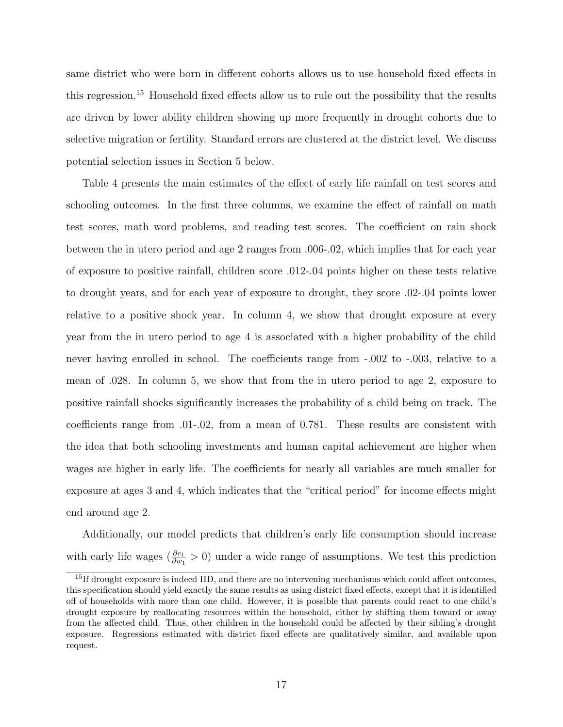same district who were born in different cohorts allows us to use household fixed effects in this regression.<sup>15</sup> Household fixed effects allow us to rule out the possibility that the results are driven by lower ability children showing up more frequently in drought cohorts due to selective migration or fertility. Standard errors are clustered at the district level. We discuss potential selection issues in Section 5 below.

Table 4 presents the main estimates of the effect of early life rainfall on test scores and schooling outcomes. In the first three columns, we examine the effect of rainfall on math test scores, math word problems, and reading test scores. The coefficient on rain shock between the in utero period and age 2 ranges from .006-.02, which implies that for each year of exposure to positive rainfall, children score .012-.04 points higher on these tests relative to drought years, and for each year of exposure to drought, they score .02-.04 points lower relative to a positive shock year. In column 4, we show that drought exposure at every year from the in utero period to age 4 is associated with a higher probability of the child never having enrolled in school. The coefficients range from -.002 to -.003, relative to a mean of .028. In column 5, we show that from the in utero period to age 2, exposure to positive rainfall shocks significantly increases the probability of a child being on track. The coefficients range from .01-.02, from a mean of 0.781. These results are consistent with the idea that both schooling investments and human capital achievement are higher when wages are higher in early life. The coefficients for nearly all variables are much smaller for exposure at ages 3 and 4, which indicates that the "critical period" for income effects might end around age 2.

Additionally, our model predicts that children's early life consumption should increase with early life wages ( $\frac{\partial c_1}{\partial w_1} > 0$ ) under a wide range of assumptions. We test this prediction

<sup>&</sup>lt;sup>15</sup>If drought exposure is indeed IID, and there are no intervening mechanisms which could affect outcomes, this specification should yield exactly the same results as using district fixed effects, except that it is identified off of households with more than one child. However, it is possible that parents could react to one child's drought exposure by reallocating resources within the household, either by shifting them toward or away from the affected child. Thus, other children in the household could be affected by their sibling's drought exposure. Regressions estimated with district fixed effects are qualitatively similar, and available upon request.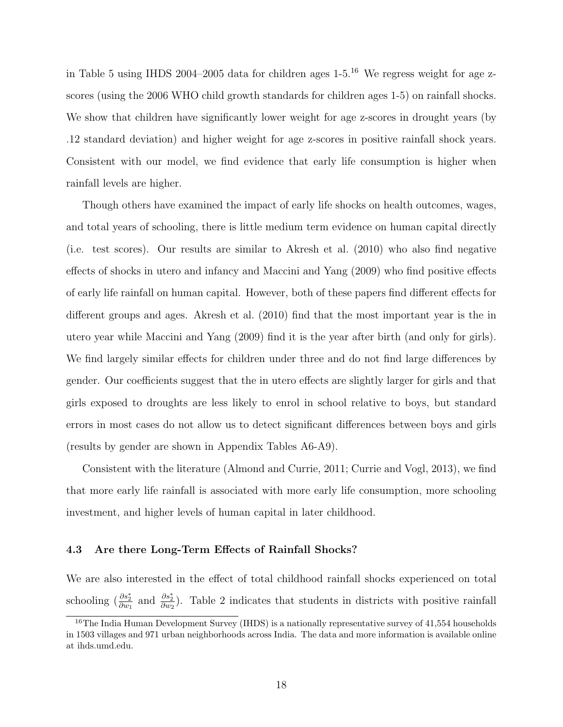in Table 5 using IHDS 2004–2005 data for children ages  $1-5$ .<sup>16</sup> We regress weight for age zscores (using the 2006 WHO child growth standards for children ages 1-5) on rainfall shocks. We show that children have significantly lower weight for age z-scores in drought years (by .12 standard deviation) and higher weight for age z-scores in positive rainfall shock years. Consistent with our model, we find evidence that early life consumption is higher when rainfall levels are higher.

Though others have examined the impact of early life shocks on health outcomes, wages, and total years of schooling, there is little medium term evidence on human capital directly (i.e. test scores). Our results are similar to Akresh et al. (2010) who also find negative effects of shocks in utero and infancy and Maccini and Yang (2009) who find positive effects of early life rainfall on human capital. However, both of these papers find different effects for different groups and ages. Akresh et al. (2010) find that the most important year is the in utero year while Maccini and Yang (2009) find it is the year after birth (and only for girls). We find largely similar effects for children under three and do not find large differences by gender. Our coefficients suggest that the in utero effects are slightly larger for girls and that girls exposed to droughts are less likely to enrol in school relative to boys, but standard errors in most cases do not allow us to detect significant differences between boys and girls (results by gender are shown in Appendix Tables A6-A9).

Consistent with the literature (Almond and Currie, 2011; Currie and Vogl, 2013), we find that more early life rainfall is associated with more early life consumption, more schooling investment, and higher levels of human capital in later childhood.

#### 4.3 Are there Long-Term Effects of Rainfall Shocks?

We are also interested in the effect of total childhood rainfall shocks experienced on total schooling  $(\frac{\partial s_2^*}{\partial w_1})$  and  $\frac{\partial s_2^*}{\partial w_2}$ ). Table 2 indicates that students in districts with positive rainfall

<sup>&</sup>lt;sup>16</sup>The India Human Development Survey (IHDS) is a nationally representative survey of 41,554 households in 1503 villages and 971 urban neighborhoods across India. The data and more information is available online at ihds.umd.edu.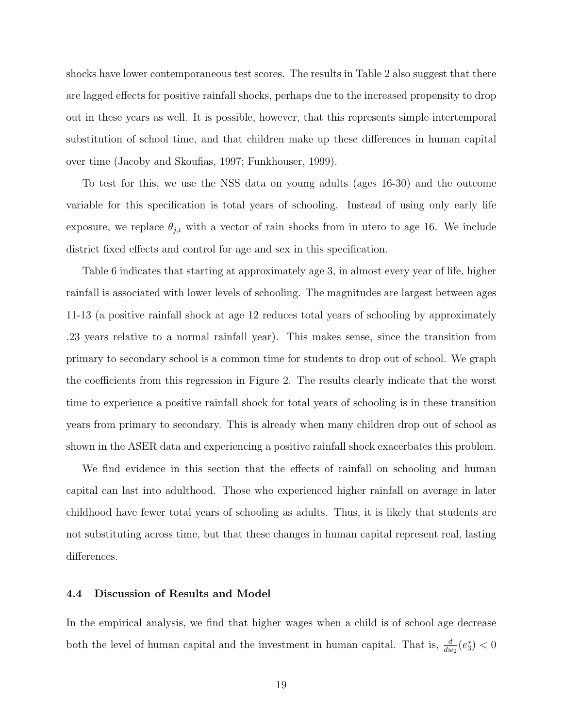shocks have lower contemporaneous test scores. The results in Table 2 also suggest that there are lagged effects for positive rainfall shocks, perhaps due to the increased propensity to drop out in these years as well. It is possible, however, that this represents simple intertemporal substitution of school time, and that children make up these differences in human capital over time (Jacoby and Skoufias, 1997; Funkhouser, 1999).

To test for this, we use the NSS data on young adults (ages 16-30) and the outcome variable for this specification is total years of schooling. Instead of using only early life exposure, we replace  $\theta_{j,t}$  with a vector of rain shocks from in utero to age 16. We include district fixed effects and control for age and sex in this specification.

Table 6 indicates that starting at approximately age 3, in almost every year of life, higher rainfall is associated with lower levels of schooling. The magnitudes are largest between ages 11-13 (a positive rainfall shock at age 12 reduces total years of schooling by approximately .23 years relative to a normal rainfall year). This makes sense, since the transition from primary to secondary school is a common time for students to drop out of school. We graph the coefficients from this regression in Figure 2. The results clearly indicate that the worst time to experience a positive rainfall shock for total years of schooling is in these transition years from primary to secondary. This is already when many children drop out of school as shown in the ASER data and experiencing a positive rainfall shock exacerbates this problem.

We find evidence in this section that the effects of rainfall on schooling and human capital can last into adulthood. Those who experienced higher rainfall on average in later childhood have fewer total years of schooling as adults. Thus, it is likely that students are not substituting across time, but that these changes in human capital represent real, lasting differences.

#### 4.4 Discussion of Results and Model

In the empirical analysis, we find that higher wages when a child is of school age decrease both the level of human capital and the investment in human capital. That is,  $\frac{d}{dw_2}(e_3^*) < 0$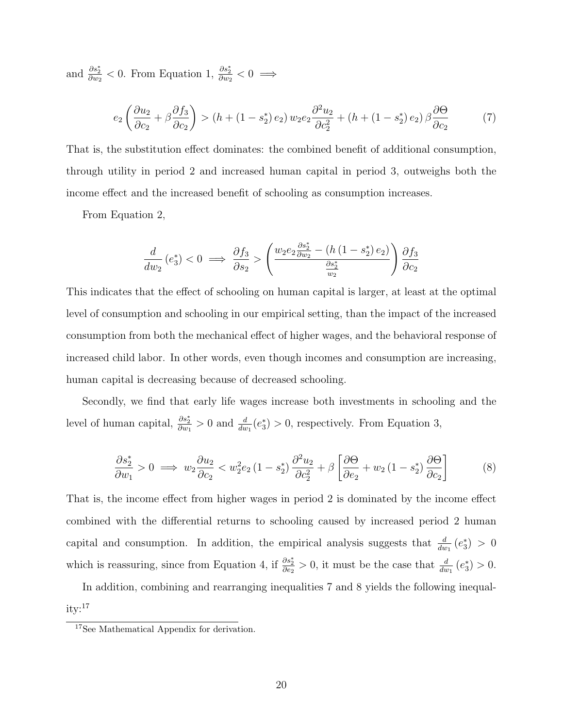and  $\frac{\partial s_2^*}{\partial w_2} < 0$ . From Equation 1,  $\frac{\partial s_2^*}{\partial w_2} < 0 \implies$ 

$$
e_2\left(\frac{\partial u_2}{\partial c_2} + \beta \frac{\partial f_3}{\partial c_2}\right) > \left(h + (1 - s_2^*) e_2\right) w_2 e_2 \frac{\partial^2 u_2}{\partial c_2^2} + \left(h + (1 - s_2^*) e_2\right) \beta \frac{\partial \Theta}{\partial c_2} \tag{7}
$$

That is, the substitution effect dominates: the combined benefit of additional consumption, through utility in period 2 and increased human capital in period 3, outweighs both the income effect and the increased benefit of schooling as consumption increases.

From Equation 2,

$$
\frac{d}{dw_2}\left(e_3^*\right) < 0 \implies \frac{\partial f_3}{\partial s_2} > \left(\frac{w_2e_2\frac{\partial s_2^*}{\partial w_2} - \left(h\left(1-s_2^*\right)e_2\right)}{\frac{\partial s_2^*}{\partial w_2}}\right)\frac{\partial f_3}{\partial c_2}
$$

This indicates that the effect of schooling on human capital is larger, at least at the optimal level of consumption and schooling in our empirical setting, than the impact of the increased consumption from both the mechanical effect of higher wages, and the behavioral response of increased child labor. In other words, even though incomes and consumption are increasing, human capital is decreasing because of decreased schooling.

Secondly, we find that early life wages increase both investments in schooling and the level of human capital,  $\frac{\partial s_2^*}{\partial w_1} > 0$  and  $\frac{d}{dw_1}(e_3^*) > 0$ , respectively. From Equation 3,

$$
\frac{\partial s_2^*}{\partial w_1} > 0 \implies w_2 \frac{\partial u_2}{\partial c_2} < w_2^2 e_2 \left(1 - s_2^*\right) \frac{\partial^2 u_2}{\partial c_2^2} + \beta \left[\frac{\partial \Theta}{\partial e_2} + w_2 \left(1 - s_2^*\right) \frac{\partial \Theta}{\partial c_2}\right] \tag{8}
$$

That is, the income effect from higher wages in period 2 is dominated by the income effect combined with the differential returns to schooling caused by increased period 2 human capital and consumption. In addition, the empirical analysis suggests that  $\frac{d}{dw_1}(e_3^*) > 0$ which is reassuring, since from Equation 4, if  $\frac{\partial s_2^*}{\partial e_2} > 0$ , it must be the case that  $\frac{d}{dw_1}(e_3^*) > 0$ .

In addition, combining and rearranging inequalities 7 and 8 yields the following inequal $itv:$ <sup>17</sup>

<sup>17</sup>See Mathematical Appendix for derivation.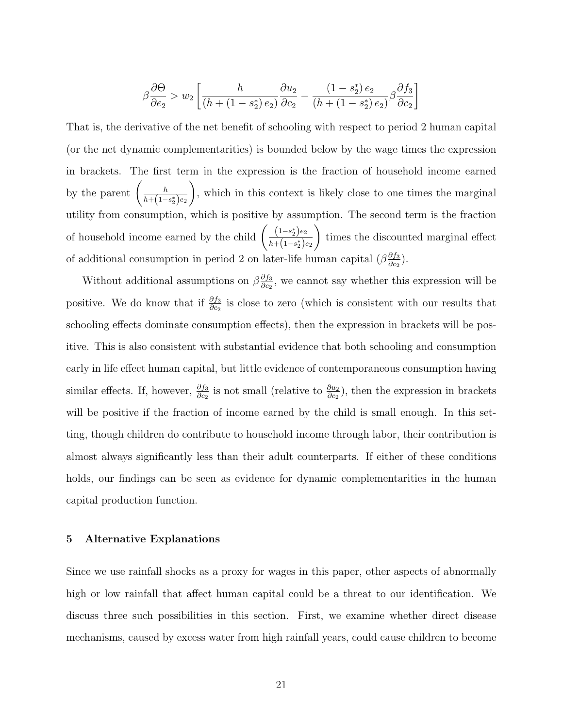$$
\beta \frac{\partial \Theta}{\partial e_2} > w_2 \left[ \frac{h}{(h + (1 - s_2^*) e_2)} \frac{\partial u_2}{\partial c_2} - \frac{(1 - s_2^*) e_2}{(h + (1 - s_2^*) e_2)} \beta \frac{\partial f_3}{\partial c_2} \right]
$$

That is, the derivative of the net benefit of schooling with respect to period 2 human capital (or the net dynamic complementarities) is bounded below by the wage times the expression in brackets. The first term in the expression is the fraction of household income earned by the parent  $\left(\frac{h}{h+(1-h)}\right)$  $h + (1 - s_2^*)e_2$  $\setminus$ , which in this context is likely close to one times the marginal utility from consumption, which is positive by assumption. The second term is the fraction of household income earned by the child  $\left(\frac{(1-s_2^*)e_2}{(1-(1-x))^2}\right)$  $h + (1 - s_2^*)e_2$  $\setminus$ times the discounted marginal effect of additional consumption in period 2 on later-life human capital  $(\beta \frac{\partial f_3}{\partial \alpha})$  $\frac{\partial f_3}{\partial c_2}\big).$ 

Without additional assumptions on  $\beta \frac{\partial f_3}{\partial \alpha}$  $\frac{\partial f_3}{\partial c_2}$ , we cannot say whether this expression will be positive. We do know that if  $\frac{\partial f_3}{\partial c_2}$  is close to zero (which is consistent with our results that schooling effects dominate consumption effects), then the expression in brackets will be positive. This is also consistent with substantial evidence that both schooling and consumption early in life effect human capital, but little evidence of contemporaneous consumption having similar effects. If, however,  $\frac{\partial f_3}{\partial c_2}$  is not small (relative to  $\frac{\partial u_2}{\partial c_2}$ ), then the expression in brackets will be positive if the fraction of income earned by the child is small enough. In this setting, though children do contribute to household income through labor, their contribution is almost always significantly less than their adult counterparts. If either of these conditions holds, our findings can be seen as evidence for dynamic complementarities in the human capital production function.

#### 5 Alternative Explanations

Since we use rainfall shocks as a proxy for wages in this paper, other aspects of abnormally high or low rainfall that affect human capital could be a threat to our identification. We discuss three such possibilities in this section. First, we examine whether direct disease mechanisms, caused by excess water from high rainfall years, could cause children to become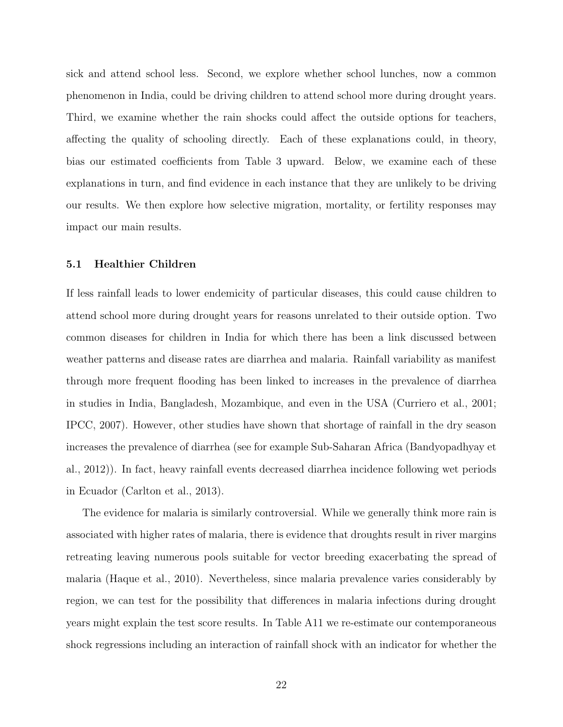sick and attend school less. Second, we explore whether school lunches, now a common phenomenon in India, could be driving children to attend school more during drought years. Third, we examine whether the rain shocks could affect the outside options for teachers, affecting the quality of schooling directly. Each of these explanations could, in theory, bias our estimated coefficients from Table 3 upward. Below, we examine each of these explanations in turn, and find evidence in each instance that they are unlikely to be driving our results. We then explore how selective migration, mortality, or fertility responses may impact our main results.

#### 5.1 Healthier Children

If less rainfall leads to lower endemicity of particular diseases, this could cause children to attend school more during drought years for reasons unrelated to their outside option. Two common diseases for children in India for which there has been a link discussed between weather patterns and disease rates are diarrhea and malaria. Rainfall variability as manifest through more frequent flooding has been linked to increases in the prevalence of diarrhea in studies in India, Bangladesh, Mozambique, and even in the USA (Curriero et al., 2001; IPCC, 2007). However, other studies have shown that shortage of rainfall in the dry season increases the prevalence of diarrhea (see for example Sub-Saharan Africa (Bandyopadhyay et al., 2012)). In fact, heavy rainfall events decreased diarrhea incidence following wet periods in Ecuador (Carlton et al., 2013).

The evidence for malaria is similarly controversial. While we generally think more rain is associated with higher rates of malaria, there is evidence that droughts result in river margins retreating leaving numerous pools suitable for vector breeding exacerbating the spread of malaria (Haque et al., 2010). Nevertheless, since malaria prevalence varies considerably by region, we can test for the possibility that differences in malaria infections during drought years might explain the test score results. In Table A11 we re-estimate our contemporaneous shock regressions including an interaction of rainfall shock with an indicator for whether the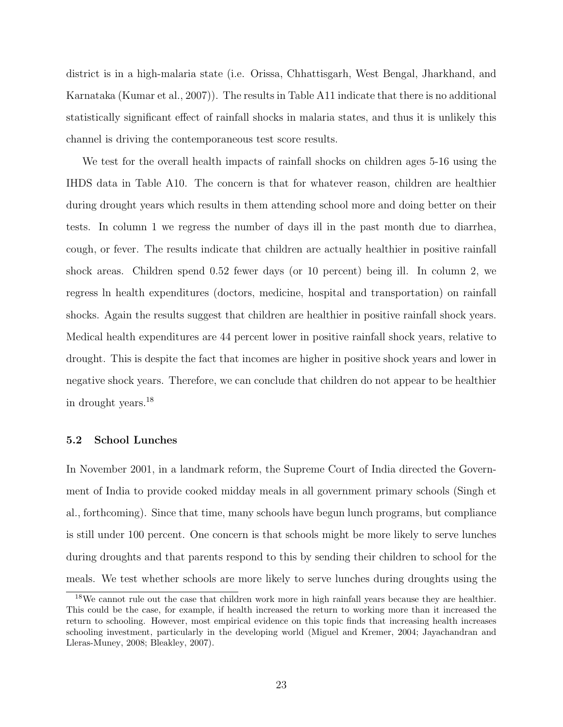district is in a high-malaria state (i.e. Orissa, Chhattisgarh, West Bengal, Jharkhand, and Karnataka (Kumar et al., 2007)). The results in Table A11 indicate that there is no additional statistically significant effect of rainfall shocks in malaria states, and thus it is unlikely this channel is driving the contemporaneous test score results.

We test for the overall health impacts of rainfall shocks on children ages 5-16 using the IHDS data in Table A10. The concern is that for whatever reason, children are healthier during drought years which results in them attending school more and doing better on their tests. In column 1 we regress the number of days ill in the past month due to diarrhea, cough, or fever. The results indicate that children are actually healthier in positive rainfall shock areas. Children spend 0.52 fewer days (or 10 percent) being ill. In column 2, we regress ln health expenditures (doctors, medicine, hospital and transportation) on rainfall shocks. Again the results suggest that children are healthier in positive rainfall shock years. Medical health expenditures are 44 percent lower in positive rainfall shock years, relative to drought. This is despite the fact that incomes are higher in positive shock years and lower in negative shock years. Therefore, we can conclude that children do not appear to be healthier in drought years.<sup>18</sup>

#### 5.2 School Lunches

In November 2001, in a landmark reform, the Supreme Court of India directed the Government of India to provide cooked midday meals in all government primary schools (Singh et al., forthcoming). Since that time, many schools have begun lunch programs, but compliance is still under 100 percent. One concern is that schools might be more likely to serve lunches during droughts and that parents respond to this by sending their children to school for the meals. We test whether schools are more likely to serve lunches during droughts using the

<sup>&</sup>lt;sup>18</sup>We cannot rule out the case that children work more in high rainfall years because they are healthier. This could be the case, for example, if health increased the return to working more than it increased the return to schooling. However, most empirical evidence on this topic finds that increasing health increases schooling investment, particularly in the developing world (Miguel and Kremer, 2004; Jayachandran and Lleras-Muney, 2008; Bleakley, 2007).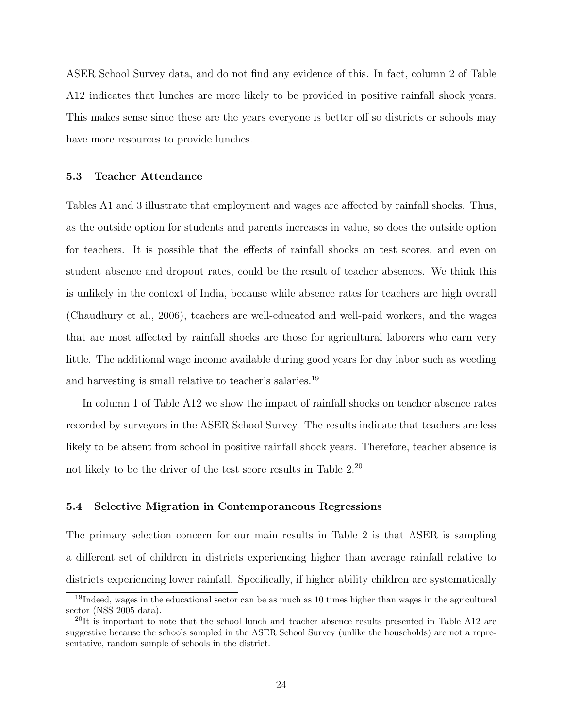ASER School Survey data, and do not find any evidence of this. In fact, column 2 of Table A12 indicates that lunches are more likely to be provided in positive rainfall shock years. This makes sense since these are the years everyone is better off so districts or schools may have more resources to provide lunches.

#### 5.3 Teacher Attendance

Tables A1 and 3 illustrate that employment and wages are affected by rainfall shocks. Thus, as the outside option for students and parents increases in value, so does the outside option for teachers. It is possible that the effects of rainfall shocks on test scores, and even on student absence and dropout rates, could be the result of teacher absences. We think this is unlikely in the context of India, because while absence rates for teachers are high overall (Chaudhury et al., 2006), teachers are well-educated and well-paid workers, and the wages that are most affected by rainfall shocks are those for agricultural laborers who earn very little. The additional wage income available during good years for day labor such as weeding and harvesting is small relative to teacher's salaries.<sup>19</sup>

In column 1 of Table A12 we show the impact of rainfall shocks on teacher absence rates recorded by surveyors in the ASER School Survey. The results indicate that teachers are less likely to be absent from school in positive rainfall shock years. Therefore, teacher absence is not likely to be the driver of the test score results in Table 2.<sup>20</sup>

#### 5.4 Selective Migration in Contemporaneous Regressions

The primary selection concern for our main results in Table 2 is that ASER is sampling a different set of children in districts experiencing higher than average rainfall relative to districts experiencing lower rainfall. Specifically, if higher ability children are systematically

<sup>&</sup>lt;sup>19</sup>Indeed, wages in the educational sector can be as much as 10 times higher than wages in the agricultural sector (NSS 2005 data).

 $^{20}$ It is important to note that the school lunch and teacher absence results presented in Table A12 are suggestive because the schools sampled in the ASER School Survey (unlike the households) are not a representative, random sample of schools in the district.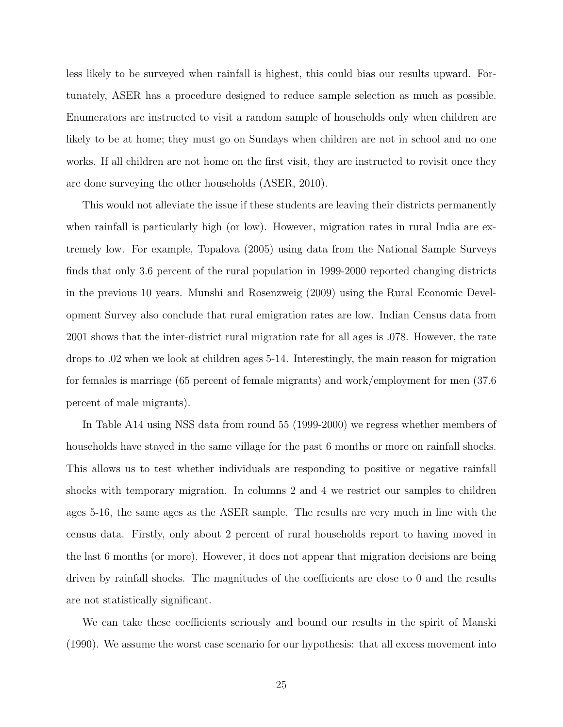less likely to be surveyed when rainfall is highest, this could bias our results upward. Fortunately, ASER has a procedure designed to reduce sample selection as much as possible. Enumerators are instructed to visit a random sample of households only when children are likely to be at home; they must go on Sundays when children are not in school and no one works. If all children are not home on the first visit, they are instructed to revisit once they are done surveying the other households (ASER, 2010).

This would not alleviate the issue if these students are leaving their districts permanently when rainfall is particularly high (or low). However, migration rates in rural India are extremely low. For example, Topalova (2005) using data from the National Sample Surveys finds that only 3.6 percent of the rural population in 1999-2000 reported changing districts in the previous 10 years. Munshi and Rosenzweig (2009) using the Rural Economic Development Survey also conclude that rural emigration rates are low. Indian Census data from 2001 shows that the inter-district rural migration rate for all ages is .078. However, the rate drops to .02 when we look at children ages 5-14. Interestingly, the main reason for migration for females is marriage (65 percent of female migrants) and work/employment for men (37.6 percent of male migrants).

In Table A14 using NSS data from round 55 (1999-2000) we regress whether members of households have stayed in the same village for the past 6 months or more on rainfall shocks. This allows us to test whether individuals are responding to positive or negative rainfall shocks with temporary migration. In columns 2 and 4 we restrict our samples to children ages 5-16, the same ages as the ASER sample. The results are very much in line with the census data. Firstly, only about 2 percent of rural households report to having moved in the last 6 months (or more). However, it does not appear that migration decisions are being driven by rainfall shocks. The magnitudes of the coefficients are close to 0 and the results are not statistically significant.

We can take these coefficients seriously and bound our results in the spirit of Manski (1990). We assume the worst case scenario for our hypothesis: that all excess movement into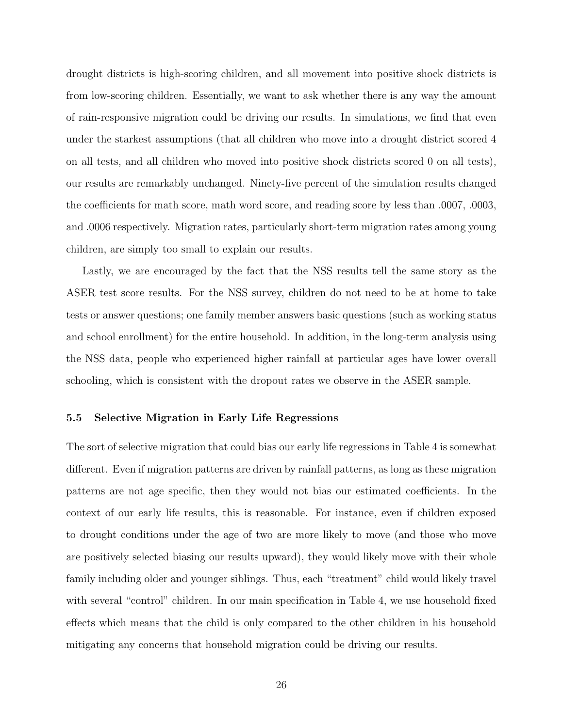drought districts is high-scoring children, and all movement into positive shock districts is from low-scoring children. Essentially, we want to ask whether there is any way the amount of rain-responsive migration could be driving our results. In simulations, we find that even under the starkest assumptions (that all children who move into a drought district scored 4 on all tests, and all children who moved into positive shock districts scored 0 on all tests), our results are remarkably unchanged. Ninety-five percent of the simulation results changed the coefficients for math score, math word score, and reading score by less than .0007, .0003, and .0006 respectively. Migration rates, particularly short-term migration rates among young children, are simply too small to explain our results.

Lastly, we are encouraged by the fact that the NSS results tell the same story as the ASER test score results. For the NSS survey, children do not need to be at home to take tests or answer questions; one family member answers basic questions (such as working status and school enrollment) for the entire household. In addition, in the long-term analysis using the NSS data, people who experienced higher rainfall at particular ages have lower overall schooling, which is consistent with the dropout rates we observe in the ASER sample.

#### 5.5 Selective Migration in Early Life Regressions

The sort of selective migration that could bias our early life regressions in Table 4 is somewhat different. Even if migration patterns are driven by rainfall patterns, as long as these migration patterns are not age specific, then they would not bias our estimated coefficients. In the context of our early life results, this is reasonable. For instance, even if children exposed to drought conditions under the age of two are more likely to move (and those who move are positively selected biasing our results upward), they would likely move with their whole family including older and younger siblings. Thus, each "treatment" child would likely travel with several "control" children. In our main specification in Table 4, we use household fixed effects which means that the child is only compared to the other children in his household mitigating any concerns that household migration could be driving our results.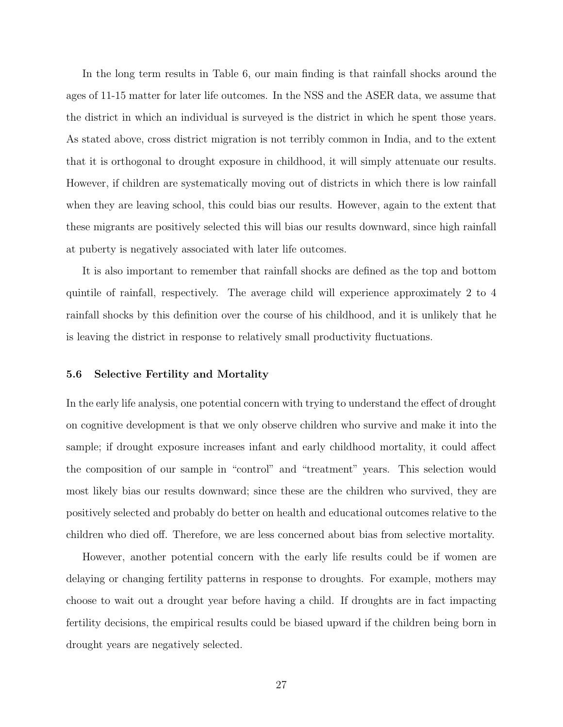In the long term results in Table 6, our main finding is that rainfall shocks around the ages of 11-15 matter for later life outcomes. In the NSS and the ASER data, we assume that the district in which an individual is surveyed is the district in which he spent those years. As stated above, cross district migration is not terribly common in India, and to the extent that it is orthogonal to drought exposure in childhood, it will simply attenuate our results. However, if children are systematically moving out of districts in which there is low rainfall when they are leaving school, this could bias our results. However, again to the extent that these migrants are positively selected this will bias our results downward, since high rainfall at puberty is negatively associated with later life outcomes.

It is also important to remember that rainfall shocks are defined as the top and bottom quintile of rainfall, respectively. The average child will experience approximately 2 to 4 rainfall shocks by this definition over the course of his childhood, and it is unlikely that he is leaving the district in response to relatively small productivity fluctuations.

#### 5.6 Selective Fertility and Mortality

In the early life analysis, one potential concern with trying to understand the effect of drought on cognitive development is that we only observe children who survive and make it into the sample; if drought exposure increases infant and early childhood mortality, it could affect the composition of our sample in "control" and "treatment" years. This selection would most likely bias our results downward; since these are the children who survived, they are positively selected and probably do better on health and educational outcomes relative to the children who died off. Therefore, we are less concerned about bias from selective mortality.

However, another potential concern with the early life results could be if women are delaying or changing fertility patterns in response to droughts. For example, mothers may choose to wait out a drought year before having a child. If droughts are in fact impacting fertility decisions, the empirical results could be biased upward if the children being born in drought years are negatively selected.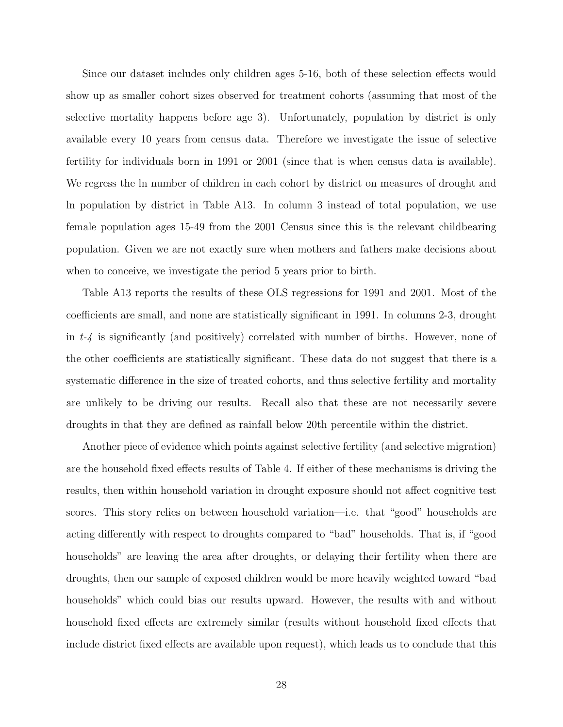Since our dataset includes only children ages 5-16, both of these selection effects would show up as smaller cohort sizes observed for treatment cohorts (assuming that most of the selective mortality happens before age 3). Unfortunately, population by district is only available every 10 years from census data. Therefore we investigate the issue of selective fertility for individuals born in 1991 or 2001 (since that is when census data is available). We regress the ln number of children in each cohort by district on measures of drought and ln population by district in Table A13. In column 3 instead of total population, we use female population ages 15-49 from the 2001 Census since this is the relevant childbearing population. Given we are not exactly sure when mothers and fathers make decisions about when to conceive, we investigate the period 5 years prior to birth.

Table A13 reports the results of these OLS regressions for 1991 and 2001. Most of the coefficients are small, and none are statistically significant in 1991. In columns 2-3, drought in  $t-4$  is significantly (and positively) correlated with number of births. However, none of the other coefficients are statistically significant. These data do not suggest that there is a systematic difference in the size of treated cohorts, and thus selective fertility and mortality are unlikely to be driving our results. Recall also that these are not necessarily severe droughts in that they are defined as rainfall below 20th percentile within the district.

Another piece of evidence which points against selective fertility (and selective migration) are the household fixed effects results of Table 4. If either of these mechanisms is driving the results, then within household variation in drought exposure should not affect cognitive test scores. This story relies on between household variation—i.e. that "good" households are acting differently with respect to droughts compared to "bad" households. That is, if "good households" are leaving the area after droughts, or delaying their fertility when there are droughts, then our sample of exposed children would be more heavily weighted toward "bad households" which could bias our results upward. However, the results with and without household fixed effects are extremely similar (results without household fixed effects that include district fixed effects are available upon request), which leads us to conclude that this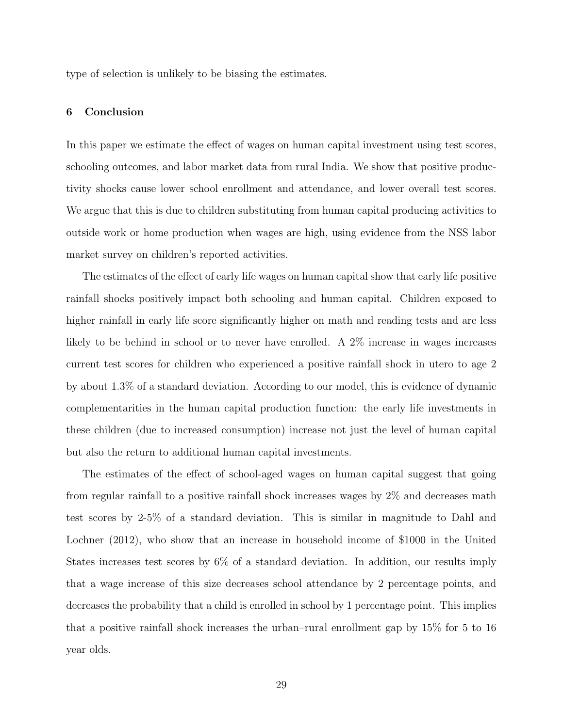type of selection is unlikely to be biasing the estimates.

#### 6 Conclusion

In this paper we estimate the effect of wages on human capital investment using test scores, schooling outcomes, and labor market data from rural India. We show that positive productivity shocks cause lower school enrollment and attendance, and lower overall test scores. We argue that this is due to children substituting from human capital producing activities to outside work or home production when wages are high, using evidence from the NSS labor market survey on children's reported activities.

The estimates of the effect of early life wages on human capital show that early life positive rainfall shocks positively impact both schooling and human capital. Children exposed to higher rainfall in early life score significantly higher on math and reading tests and are less likely to be behind in school or to never have enrolled. A 2% increase in wages increases current test scores for children who experienced a positive rainfall shock in utero to age 2 by about 1.3% of a standard deviation. According to our model, this is evidence of dynamic complementarities in the human capital production function: the early life investments in these children (due to increased consumption) increase not just the level of human capital but also the return to additional human capital investments.

The estimates of the effect of school-aged wages on human capital suggest that going from regular rainfall to a positive rainfall shock increases wages by 2% and decreases math test scores by 2-5% of a standard deviation. This is similar in magnitude to Dahl and Lochner (2012), who show that an increase in household income of \$1000 in the United States increases test scores by 6% of a standard deviation. In addition, our results imply that a wage increase of this size decreases school attendance by 2 percentage points, and decreases the probability that a child is enrolled in school by 1 percentage point. This implies that a positive rainfall shock increases the urban–rural enrollment gap by 15% for 5 to 16 year olds.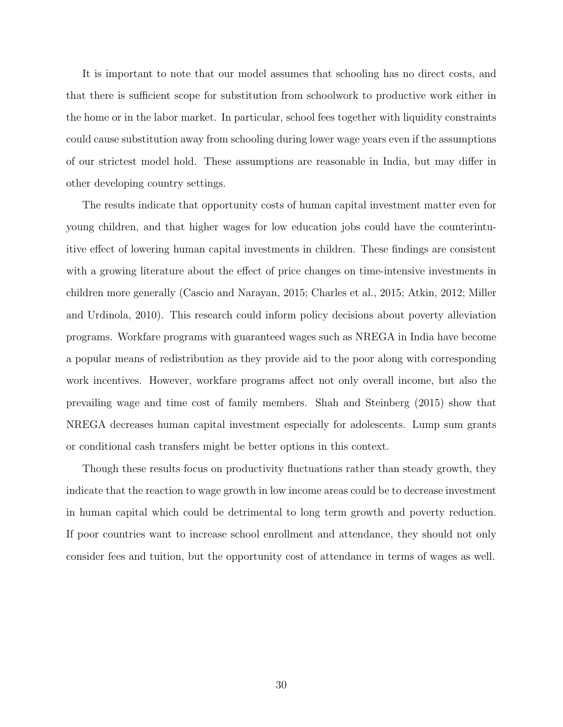It is important to note that our model assumes that schooling has no direct costs, and that there is sufficient scope for substitution from schoolwork to productive work either in the home or in the labor market. In particular, school fees together with liquidity constraints could cause substitution away from schooling during lower wage years even if the assumptions of our strictest model hold. These assumptions are reasonable in India, but may differ in other developing country settings.

The results indicate that opportunity costs of human capital investment matter even for young children, and that higher wages for low education jobs could have the counterintuitive effect of lowering human capital investments in children. These findings are consistent with a growing literature about the effect of price changes on time-intensive investments in children more generally (Cascio and Narayan, 2015; Charles et al., 2015; Atkin, 2012; Miller and Urdinola, 2010). This research could inform policy decisions about poverty alleviation programs. Workfare programs with guaranteed wages such as NREGA in India have become a popular means of redistribution as they provide aid to the poor along with corresponding work incentives. However, workfare programs affect not only overall income, but also the prevailing wage and time cost of family members. Shah and Steinberg (2015) show that NREGA decreases human capital investment especially for adolescents. Lump sum grants or conditional cash transfers might be better options in this context.

Though these results focus on productivity fluctuations rather than steady growth, they indicate that the reaction to wage growth in low income areas could be to decrease investment in human capital which could be detrimental to long term growth and poverty reduction. If poor countries want to increase school enrollment and attendance, they should not only consider fees and tuition, but the opportunity cost of attendance in terms of wages as well.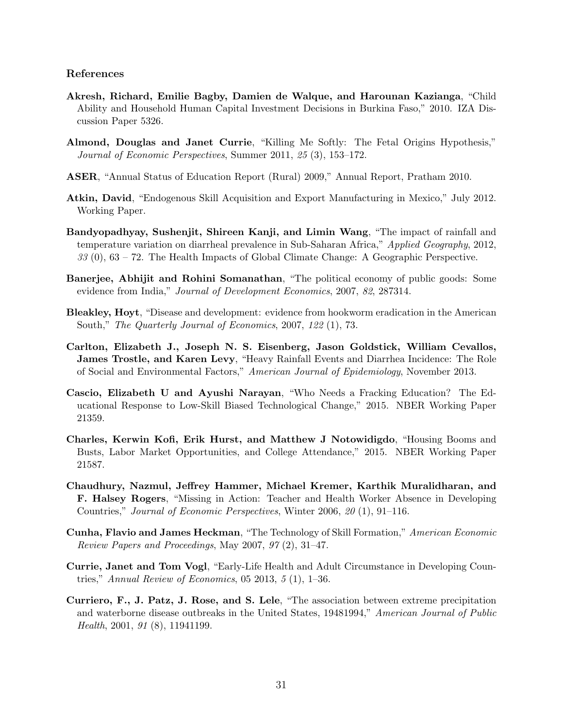#### References

- Akresh, Richard, Emilie Bagby, Damien de Walque, and Harounan Kazianga, "Child Ability and Household Human Capital Investment Decisions in Burkina Faso," 2010. IZA Discussion Paper 5326.
- Almond, Douglas and Janet Currie, "Killing Me Softly: The Fetal Origins Hypothesis," Journal of Economic Perspectives, Summer 2011, 25 (3), 153–172.
- ASER, "Annual Status of Education Report (Rural) 2009," Annual Report, Pratham 2010.
- Atkin, David, "Endogenous Skill Acquisition and Export Manufacturing in Mexico," July 2012. Working Paper.
- Bandyopadhyay, Sushenjit, Shireen Kanji, and Limin Wang, "The impact of rainfall and temperature variation on diarrheal prevalence in Sub-Saharan Africa," Applied Geography, 2012, 33 (0), 63 – 72. The Health Impacts of Global Climate Change: A Geographic Perspective.
- Banerjee, Abhijit and Rohini Somanathan, "The political economy of public goods: Some evidence from India," *Journal of Development Economics*, 2007, 82, 287314.
- Bleakley, Hoyt, "Disease and development: evidence from hookworm eradication in the American South," The Quarterly Journal of Economics, 2007, 122 (1), 73.
- Carlton, Elizabeth J., Joseph N. S. Eisenberg, Jason Goldstick, William Cevallos, James Trostle, and Karen Levy, "Heavy Rainfall Events and Diarrhea Incidence: The Role of Social and Environmental Factors," American Journal of Epidemiology, November 2013.
- Cascio, Elizabeth U and Ayushi Narayan, "Who Needs a Fracking Education? The Educational Response to Low-Skill Biased Technological Change," 2015. NBER Working Paper 21359.
- Charles, Kerwin Kofi, Erik Hurst, and Matthew J Notowidigdo, "Housing Booms and Busts, Labor Market Opportunities, and College Attendance," 2015. NBER Working Paper 21587.
- Chaudhury, Nazmul, Jeffrey Hammer, Michael Kremer, Karthik Muralidharan, and F. Halsey Rogers, "Missing in Action: Teacher and Health Worker Absence in Developing Countries," Journal of Economic Perspectives, Winter 2006, 20 (1), 91–116.
- Cunha, Flavio and James Heckman, "The Technology of Skill Formation," American Economic Review Papers and Proceedings, May 2007, 97 (2), 31–47.
- Currie, Janet and Tom Vogl, "Early-Life Health and Adult Circumstance in Developing Countries," Annual Review of Economics, 05 2013, 5 (1), 1–36.
- Curriero, F., J. Patz, J. Rose, and S. Lele, "The association between extreme precipitation and waterborne disease outbreaks in the United States, 19481994," American Journal of Public Health, 2001, 91 (8), 11941199.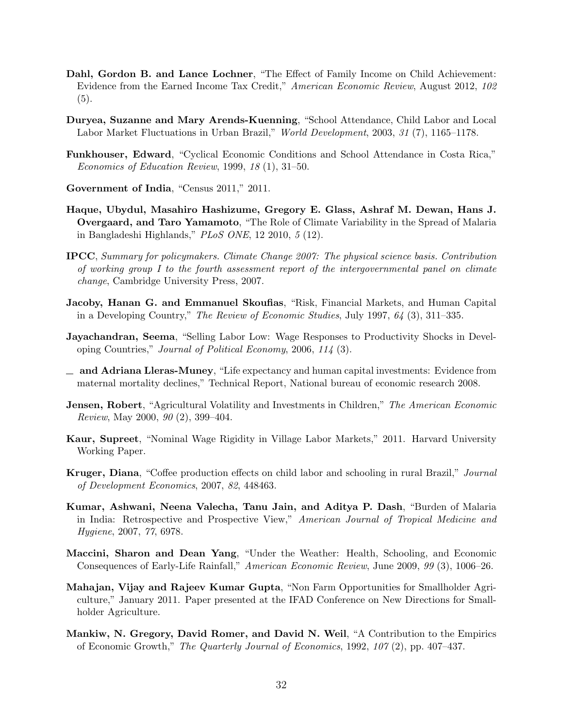- Dahl, Gordon B. and Lance Lochner, "The Effect of Family Income on Child Achievement: Evidence from the Earned Income Tax Credit," American Economic Review, August 2012, 102 (5).
- Duryea, Suzanne and Mary Arends-Kuenning, "School Attendance, Child Labor and Local Labor Market Fluctuations in Urban Brazil," World Development, 2003, 31 (7), 1165–1178.
- Funkhouser, Edward, "Cyclical Economic Conditions and School Attendance in Costa Rica," Economics of Education Review, 1999, 18 (1), 31–50.
- Government of India, "Census 2011," 2011.
- Haque, Ubydul, Masahiro Hashizume, Gregory E. Glass, Ashraf M. Dewan, Hans J. Overgaard, and Taro Yamamoto, "The Role of Climate Variability in the Spread of Malaria in Bangladeshi Highlands," PLoS ONE, 12 2010, 5 (12).
- IPCC, Summary for policymakers. Climate Change 2007: The physical science basis. Contribution of working group I to the fourth assessment report of the intergovernmental panel on climate change, Cambridge University Press, 2007.
- Jacoby, Hanan G. and Emmanuel Skoufias, "Risk, Financial Markets, and Human Capital in a Developing Country," The Review of Economic Studies, July 1997, 64 (3), 311–335.
- Jayachandran, Seema, "Selling Labor Low: Wage Responses to Productivity Shocks in Developing Countries," Journal of Political Economy, 2006, 114 (3).
- $\Box$  and Adriana Lleras-Muney, "Life expectancy and human capital investments: Evidence from maternal mortality declines," Technical Report, National bureau of economic research 2008.
- **Jensen, Robert**, "Agricultural Volatility and Investments in Children," The American Economic Review, May 2000, 90 (2), 399–404.
- Kaur, Supreet, "Nominal Wage Rigidity in Village Labor Markets," 2011. Harvard University Working Paper.
- Kruger, Diana, "Coffee production effects on child labor and schooling in rural Brazil," Journal of Development Economics, 2007, 82, 448463.
- Kumar, Ashwani, Neena Valecha, Tanu Jain, and Aditya P. Dash, "Burden of Malaria in India: Retrospective and Prospective View," American Journal of Tropical Medicine and Hygiene, 2007, 77, 6978.
- Maccini, Sharon and Dean Yang, "Under the Weather: Health, Schooling, and Economic Consequences of Early-Life Rainfall," American Economic Review, June 2009, 99 (3), 1006–26.
- Mahajan, Vijay and Rajeev Kumar Gupta, "Non Farm Opportunities for Smallholder Agriculture," January 2011. Paper presented at the IFAD Conference on New Directions for Smallholder Agriculture.
- Mankiw, N. Gregory, David Romer, and David N. Weil, "A Contribution to the Empirics of Economic Growth," The Quarterly Journal of Economics, 1992, 107 (2), pp. 407–437.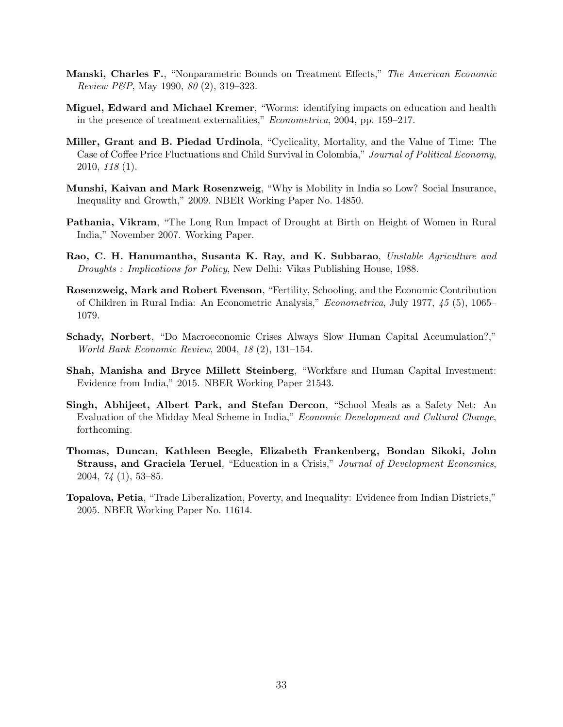- Manski, Charles F., "Nonparametric Bounds on Treatment Effects," The American Economic Review P&P, May 1990, 80 (2), 319–323.
- Miguel, Edward and Michael Kremer, "Worms: identifying impacts on education and health in the presence of treatment externalities," Econometrica, 2004, pp. 159–217.
- Miller, Grant and B. Piedad Urdinola, "Cyclicality, Mortality, and the Value of Time: The Case of Coffee Price Fluctuations and Child Survival in Colombia," Journal of Political Economy, 2010, 118 (1).
- Munshi, Kaivan and Mark Rosenzweig, "Why is Mobility in India so Low? Social Insurance, Inequality and Growth," 2009. NBER Working Paper No. 14850.
- Pathania, Vikram, "The Long Run Impact of Drought at Birth on Height of Women in Rural India," November 2007. Working Paper.
- Rao, C. H. Hanumantha, Susanta K. Ray, and K. Subbarao, Unstable Agriculture and Droughts : Implications for Policy, New Delhi: Vikas Publishing House, 1988.
- Rosenzweig, Mark and Robert Evenson, "Fertility, Schooling, and the Economic Contribution of Children in Rural India: An Econometric Analysis," Econometrica, July 1977, 45 (5), 1065– 1079.
- Schady, Norbert, "Do Macroeconomic Crises Always Slow Human Capital Accumulation?," World Bank Economic Review, 2004, 18 (2), 131–154.
- Shah, Manisha and Bryce Millett Steinberg, "Workfare and Human Capital Investment: Evidence from India," 2015. NBER Working Paper 21543.
- Singh, Abhijeet, Albert Park, and Stefan Dercon, "School Meals as a Safety Net: An Evaluation of the Midday Meal Scheme in India," *Economic Development and Cultural Change*, forthcoming.
- Thomas, Duncan, Kathleen Beegle, Elizabeth Frankenberg, Bondan Sikoki, John Strauss, and Graciela Teruel, "Education in a Crisis," Journal of Development Economics, 2004, 74 (1), 53–85.
- Topalova, Petia, "Trade Liberalization, Poverty, and Inequality: Evidence from Indian Districts," 2005. NBER Working Paper No. 11614.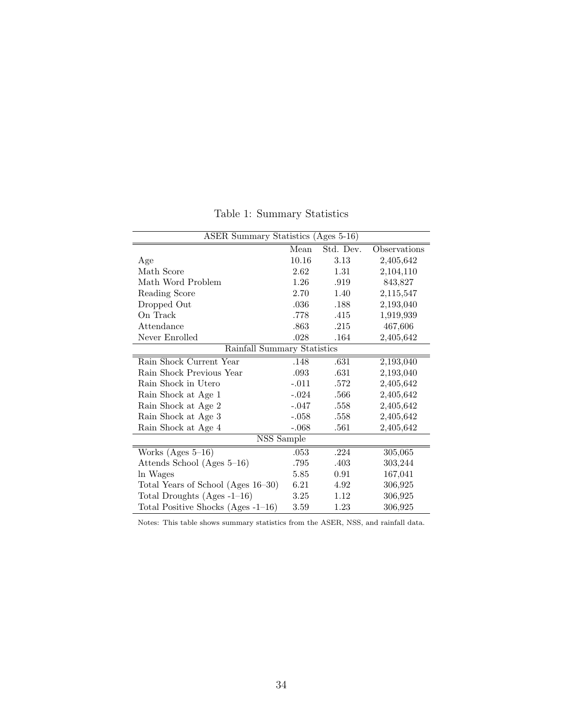| ASER Summary Statistics $(A_{\text{ges}} 5-16)$ |         |           |              |  |  |  |
|-------------------------------------------------|---------|-----------|--------------|--|--|--|
|                                                 | Mean    | Std. Dev. | Observations |  |  |  |
| Age                                             | 10.16   | 3.13      | 2,405,642    |  |  |  |
| Math Score                                      | 2.62    | 1.31      | 2,104,110    |  |  |  |
| Math Word Problem                               | 1.26    | .919      | 843,827      |  |  |  |
| Reading Score                                   | 2.70    | 1.40      | 2,115,547    |  |  |  |
| Dropped Out                                     | .036    | .188      | 2,193,040    |  |  |  |
| On Track                                        | .778    | .415      | 1,919,939    |  |  |  |
| Attendance                                      | .863    | .215      | 467,606      |  |  |  |
| Never Enrolled                                  | .028    | .164      | 2,405,642    |  |  |  |
| Rainfall Summary Statistics                     |         |           |              |  |  |  |
| Rain Shock Current Year                         | .148    | .631      | 2,193,040    |  |  |  |
| Rain Shock Previous Year                        | .093    | .631      | 2,193,040    |  |  |  |
| Rain Shock in Utero                             | $-.011$ | .572      | 2,405,642    |  |  |  |
| Rain Shock at Age 1                             | $-.024$ | .566      | 2,405,642    |  |  |  |
| Rain Shock at Age 2                             | $-.047$ | $.558\,$  | 2,405,642    |  |  |  |
| Rain Shock at Age 3                             | $-.058$ | .558      | 2,405,642    |  |  |  |
| Rain Shock at Age 4                             | $-.068$ | .561      | 2,405,642    |  |  |  |
| NSS Sample                                      |         |           |              |  |  |  |
| Works $(Ages 5-16)$                             | .053    | .224      | 305,065      |  |  |  |
| Attends School (Ages 5–16)                      | .795    | .403      | 303,244      |  |  |  |
| In Wages                                        | 5.85    | 0.91      | 167,041      |  |  |  |
| Total Years of School (Ages 16-30)              | 6.21    | 4.92      | 306,925      |  |  |  |
| Total Droughts $(Ages -1-16)$                   | 3.25    | 1.12      | 306,925      |  |  |  |
| Total Positive Shocks (Ages $-1-16$ )           | 3.59    | 1.23      | 306,925      |  |  |  |

Table 1: Summary Statistics

Notes: This table shows summary statistics from the ASER, NSS, and rainfall data.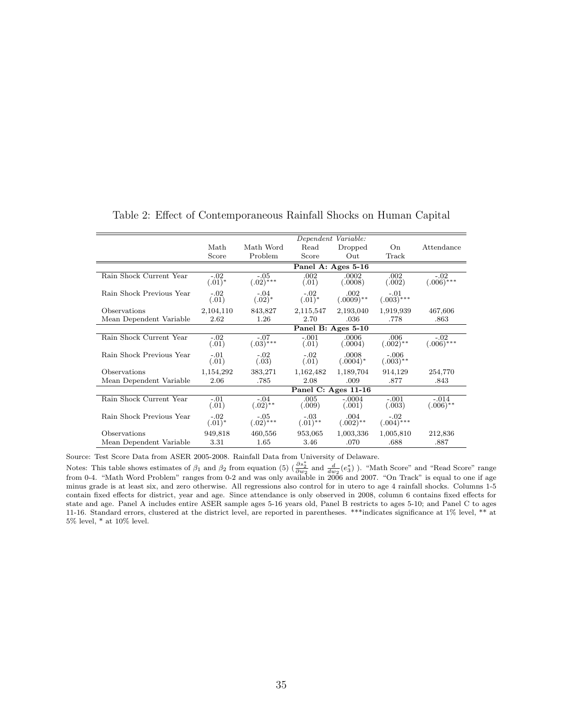|                          | Dependent Variable: |                         |                      |                      |                        |                        |
|--------------------------|---------------------|-------------------------|----------------------|----------------------|------------------------|------------------------|
|                          | Math                | Math Word               | Read                 | Dropped              | On                     | Attendance             |
|                          | Score               | Problem                 | Score                | Out                  | Track                  |                        |
|                          |                     |                         |                      | Panel A: Ages 5-16   |                        |                        |
| Rain Shock Current Year  | $-.02$<br>$(.01)^*$ | $-.05$<br>$(.02)^{***}$ | .002<br>(.01)        | .0002<br>(.0008)     | .002<br>(.002)         | $-.02$<br>$(.006)$ *** |
| Rain Shock Previous Year | $-.02$<br>(.01)     | $-.04$<br>$(.02)^*$     | $-.02$<br>$(.01)^*$  | .002<br>$(.0009)$ ** | $-.01$<br>$(.003)$ *** |                        |
| Observations             | 2,104,110           | 843,827                 | 2,115,547            | 2,193,040            | 1,919,939              | 467,606                |
| Mean Dependent Variable  | 2.62                | 1.26                    | 2.70                 | .036                 | .778                   | .863                   |
|                          |                     |                         |                      | Panel B: Ages 5-10   |                        |                        |
| Rain Shock Current Year  | $-.02$<br>(.01)     | $-.07$<br>$(.03)$ ***   | $-.001$<br>(.01)     | .0006<br>(.0004)     | .006<br>$(.002)$ **    | $-.02$<br>$(.006)$ *** |
| Rain Shock Previous Year | $-.01$<br>(.01)     | $-.02$<br>(.03)         | $-.02$<br>(.01)      | .0008<br>$(.0004)^*$ | $-.006$<br>$(.003)$ ** |                        |
| Observations             | 1,154,292           | 383,271                 | 1,162,482            | 1,189,704            | 914,129                | 254,770                |
| Mean Dependent Variable  | 2.06                | .785                    | 2.08                 | .009                 | .877                   | .843                   |
|                          |                     |                         |                      | Panel C: Ages 11-16  |                        |                        |
| Rain Shock Current Year  | $-.01$<br>(.01)     | $-.04$<br>$(.02)$ **    | .005<br>(.009)       | $-.0004$<br>(.001)   | $-.001$<br>(.003)      | $-.014$<br>$(.006)$ ** |
| Rain Shock Previous Year | $-.02$<br>$(.01)^*$ | $-.05$<br>$(.02)$ ***   | $-.03$<br>$(.01)$ ** | .004<br>$(.002)$ **  | $-.02$<br>$(.004)$ *** |                        |
| Observations             | 949,818             | 460,556                 | 953,065              | 1,003,336            | 1,005,810              | 212,836                |
| Mean Dependent Variable  | 3.31                | 1.65                    | 3.46                 | .070                 | .688                   | .887                   |

Table 2: Effect of Contemporaneous Rainfall Shocks on Human Capital

Source: Test Score Data from ASER 2005-2008. Rainfall Data from University of Delaware.

Notes: This table shows estimates of  $\beta_1$  and  $\beta_2$  from equation (5) ( $\frac{\partial s_2^*}{\partial w_2}$  and  $\frac{d}{dw_2}(e_3^*)$ ). "Math Score" and "Read Score" range from 0-4. "Math Word Problem" ranges from 0-2 and was only available in 2006 and 2007. "On Track" is equal to one if age minus grade is at least six, and zero otherwise. All regressions also control for in utero to age 4 rainfall shocks. Columns 1-5 contain fixed effects for district, year and age. Since attendance is only observed in 2008, column 6 contains fixed effects for state and age. Panel A includes entire ASER sample ages 5-16 years old, Panel B restricts to ages 5-10; and Panel C to ages 11-16. Standard errors, clustered at the district level, are reported in parentheses. \*\*\*indicates significance at 1% level, \*\* at  $5\%$  level, \* at 10% level.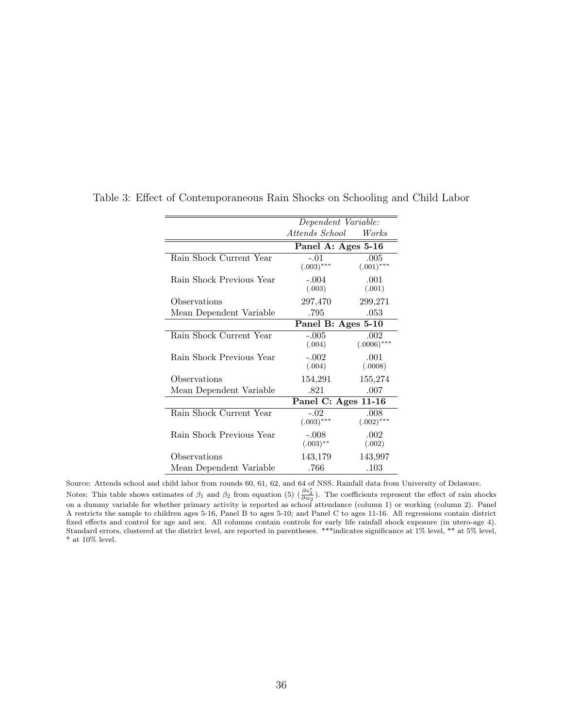|                          | Dependent Variable: |               |  |
|--------------------------|---------------------|---------------|--|
|                          | Attends School      | Works         |  |
|                          | Panel A: Ages 5-16  |               |  |
| Rain Shock Current Year  | $-.01$              | .005          |  |
|                          | $(.003)$ ***        | $(.001)$ ***  |  |
| Rain Shock Previous Year | $-.004$             | .001          |  |
|                          | (.003)              | (.001)        |  |
| Observations             | 297,470             | 299,271       |  |
| Mean Dependent Variable  | .795                | .053          |  |
|                          | Panel B: Ages 5-10  |               |  |
| Rain Shock Current Year  | $-.005$             | .002          |  |
|                          | (.004)              | $(.0006)$ *** |  |
| Rain Shock Previous Year | $-.002$             | .001          |  |
|                          | (.004)              | (.0008)       |  |
| Observations             | 154,291             | 155,274       |  |
| Mean Dependent Variable  | .821                | .007          |  |
|                          | Panel C: Ages 11-16 |               |  |
| Rain Shock Current Year  | $-.02$              | .008          |  |
|                          | $(.003)$ ***        | $(.002)$ ***  |  |
| Rain Shock Previous Year | $-.008$             | .002          |  |
|                          | $(.003)$ **         | (.002)        |  |
| Observations             | 143,179             | 143,997       |  |
| Mean Dependent Variable  | .766                | .103          |  |

Table 3: Effect of Contemporaneous Rain Shocks on Schooling and Child Labor

Source: Attends school and child labor from rounds 60, 61, 62, and 64 of NSS. Rainfall data from University of Delaware.<br>Notes: This table shows estimates of  $\beta_1$  and  $\beta_2$  from equation (5)  $(\frac{\partial s_2^*}{\partial w_2})$ . The coe on a dummy variable for whether primary activity is reported as school attendance (column 1) or working (column 2). Panel A restricts the sample to children ages 5-16, Panel B to ages 5-10; and Panel C to ages 11-16. All regressions contain district fixed effects and control for age and sex. All columns contain controls for early life rainfall shock exposure (in utero-age 4). Standard errors, clustered at the district level, are reported in parentheses. \*\*\*indicates significance at 1% level, \*\* at 5% level,  $^*$  at 10% level.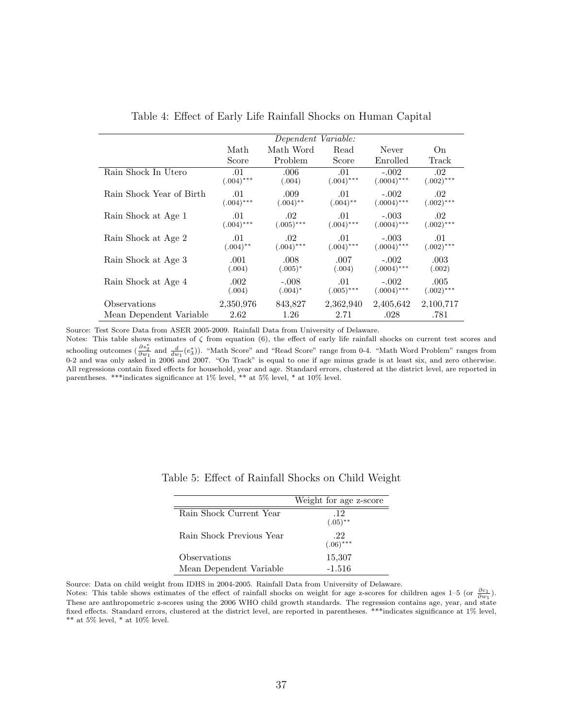|                          | Dependent Variable: |              |              |               |              |  |  |
|--------------------------|---------------------|--------------|--------------|---------------|--------------|--|--|
|                          | Math                | Math Word    | Read         | Never         | On           |  |  |
|                          | Score               | Problem      | Score        | Enrolled      | Track        |  |  |
| Rain Shock In Utero      | .01                 | .006         | .01          | $-.002$       | .02          |  |  |
|                          | $(.004)$ ***        | (.004)       | $(.004)$ *** | $(.0004)$ *** | $(.002)$ *** |  |  |
| Rain Shock Year of Birth | .01                 | .009         | .01          | $-.002$       | .02          |  |  |
|                          | $(.004)$ ***        | $(.004)$ **  | $(.004)$ **  | $(.0004)$ *** | $(.002)$ *** |  |  |
| Rain Shock at Age 1      | .01                 | .02          | .01          | $-.003$       | .02          |  |  |
|                          | $(.004)$ ***        | $(.005)$ *** | $(.004)$ *** | $(.0004)$ *** | $(.002)$ *** |  |  |
| Rain Shock at Age 2      | .01                 | .02          | .01          | $-.003$       | .01          |  |  |
|                          | $(.004)$ **         | $(.004)$ *** | $(.004)$ *** | $(.0004)$ *** | $(.002)$ *** |  |  |
| Rain Shock at Age 3      | .001                | .008         | .007         | $-.002$       | .003         |  |  |
|                          | (.004)              | $(.005)^*$   | (.004)       | $(.0004)$ *** | (.002)       |  |  |
| Rain Shock at Age 4      | .002                | $-.008$      | .01          | $-.002$       | .005         |  |  |
|                          | (.004)              | $(.004)^*$   | $(.005)$ *** | $(.0004)$ *** | $(.002)$ *** |  |  |
| Observations             | 2,350,976           | 843,827      | 2,362,940    | 2,405,642     | 2,100,717    |  |  |
| Mean Dependent Variable  | 2.62                | 1.26         | 2.71         | .028          | .781         |  |  |

Table 4: Effect of Early Life Rainfall Shocks on Human Capital

Source: Test Score Data from ASER 2005-2009. Rainfall Data from University of Delaware.

Notes: This table shows estimates of  $\zeta$  from equation (6), the effect of early life rainfall shocks on current test scores and schooling outcomes  $(\frac{\partial s_2^*}{\partial w_1}$  and  $\frac{d}{dw_1}(e_3^*)$ ). "Math Score" and "Read Score" range from 0-4. "Math Word Problem" ranges from 0-2 and was only asked in 2006 and 2007. "On Track" is equal to one if age minus grade is at least six, and zero otherwise. All regressions contain fixed effects for household, year and age. Standard errors, clustered at the district level, are reported in parentheses. \*\*\*indicates significance at 1% level, \*\* at 5% level, \* at 10% level.

|                          | Weight for age z-score |
|--------------------------|------------------------|
| Rain Shock Current Year  | .12<br>$(.05)$ **      |
| Rain Shock Previous Year | -22<br>$(.06)$ ***     |
| Observations             | 15,307                 |
| Mean Dependent Variable  | $-1.516$               |

Table 5: Effect of Rainfall Shocks on Child Weight

Source: Data on child weight from IDHS in 2004-2005. Rainfall Data from University of Delaware.

Notes: This table shows estimates of the effect of rainfall shocks on weight for age z-scores for children ages 1–5 (or  $\frac{\partial c_1}{\partial w_1}$ ). These are anthropometric z-scores using the 2006 WHO child growth standards. The regression contains age, year, and state fixed effects. Standard errors, clustered at the district level, are reported in parentheses. \*\*\*indicates significance at 1% level,  $^{**}$  at 5% level,  $^*$  at 10% level.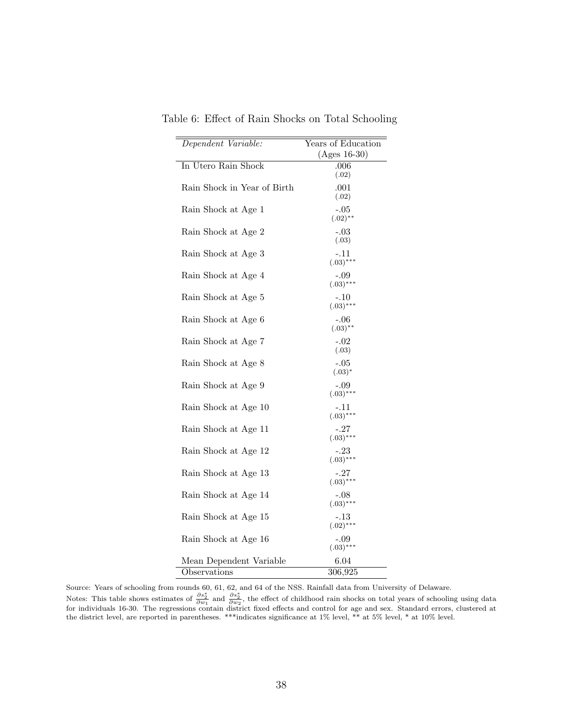| Dependent Variable:         | Years of Education    |
|-----------------------------|-----------------------|
|                             | $(Ages 16-30)$        |
| In Utero Rain Shock         | $.006\,$              |
|                             | (.02)                 |
| Rain Shock in Year of Birth | .001                  |
|                             | (.02)                 |
| Rain Shock at Age 1         | -.05                  |
|                             | $(.02)$ **            |
| Rain Shock at Age 2         | $-.03$                |
|                             | (.03)                 |
|                             |                       |
| Rain Shock at Age 3         | -.11<br>$(.03)***$    |
|                             |                       |
| Rain Shock at Age 4         | -.09                  |
|                             | $(.03)$ ***           |
| Rain Shock at Age 5         | -.10                  |
|                             | $(.03)$ ***           |
| Rain Shock at Age 6         | $-.06$                |
|                             | $(.03)$ **            |
| Rain Shock at Age 7         | $-.02$                |
|                             | (.03)                 |
| Rain Shock at Age 8         | $-.05$                |
|                             | $(.03)^*$             |
| Rain Shock at Age 9         | -.09                  |
|                             | $(.03)$ ***           |
| Rain Shock at Age 10        | -.11                  |
|                             | $(.03)$ ***           |
| Rain Shock at Age 11        | -.27                  |
|                             | $(.03)$ ***           |
| Rain Shock at Age 12        | -.23                  |
|                             | $(.03)$ ***           |
| Rain Shock at Age 13        | -.27                  |
|                             | $(.03)$ ***           |
|                             |                       |
| Rain Shock at Age 14        | $-.08$<br>$(.03)$ *** |
|                             |                       |
| Rain Shock at Age 15        | -.13<br>$(.02)$ ***   |
|                             |                       |
| Rain Shock at Age 16        | $-.09$<br>$(.03)$ *** |
|                             |                       |
| Mean Dependent Variable     | 6.04                  |
| Observations                | 306,925               |

Table 6: Effect of Rain Shocks on Total Schooling

Source: Years of schooling from rounds 60, 61, 62, and 64 of the NSS. Rainfall data from University of Delaware.<br>Notes: This table shows estimates of  $\frac{\partial s_2^*}{\partial w_1}$  and  $\frac{\partial s_2^*}{\partial w_2}$ , the effect of childhood rain for individuals 16-30. The regressions contain district fixed effects and control for age and sex. Standard errors, clustered at the district level, are reported in parentheses. \*\*\*indicates significance at 1% level, \*\* at 5% level, \* at 10% level.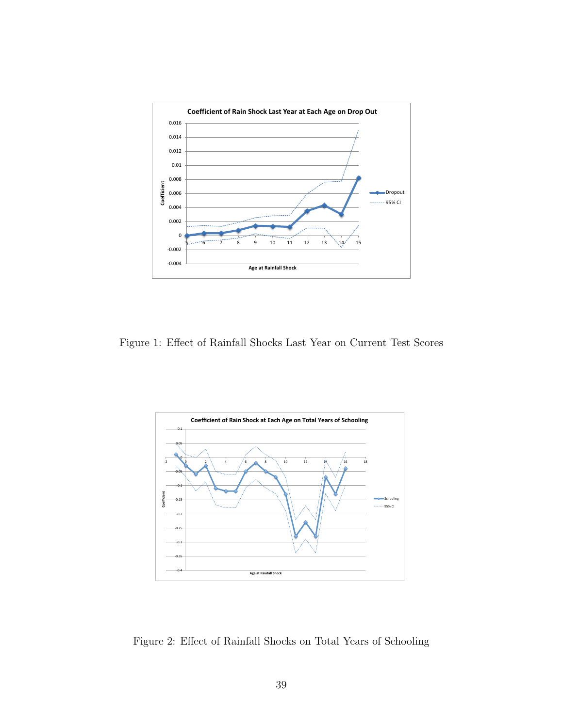

Figure 1: Effect of Rainfall Shocks Last Year on Current Test Scores



Figure 2: Effect of Rainfall Shocks on Total Years of Schooling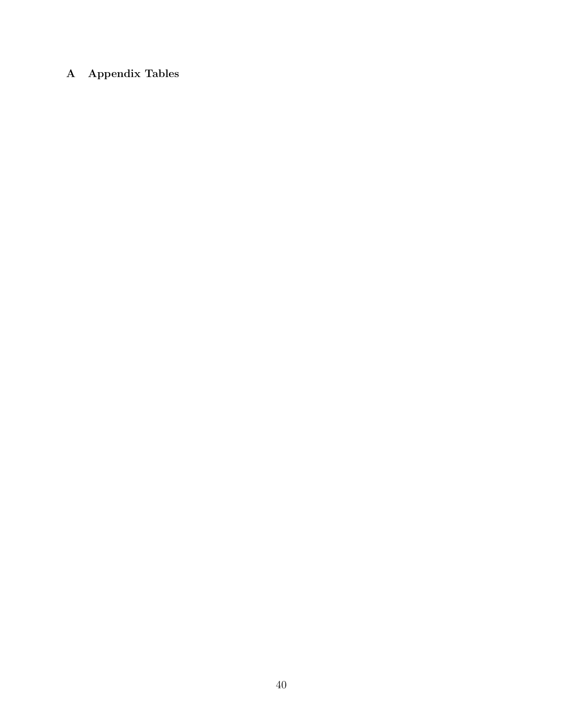## A Appendix Tables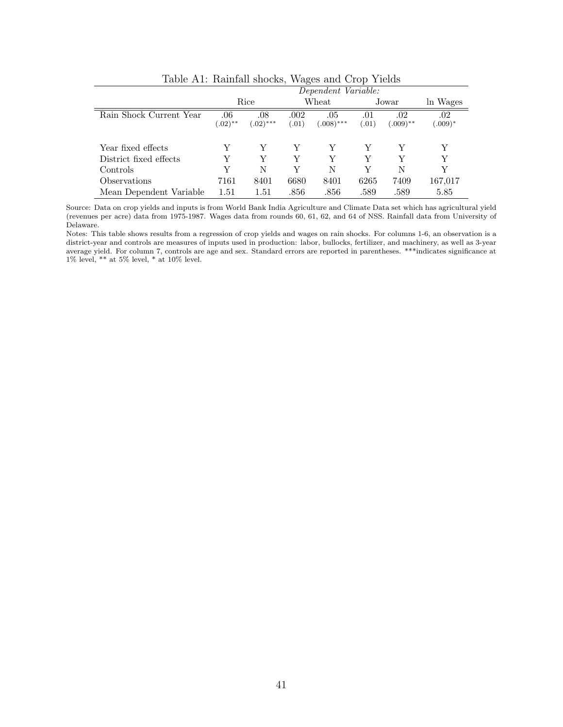|                         | ີ<br>Dependent Variable: |                    |                |                     |              |                    |                       |  |
|-------------------------|--------------------------|--------------------|----------------|---------------------|--------------|--------------------|-----------------------|--|
|                         |                          | Rice               |                | Wheat               |              | Jowar              | ln Wages              |  |
| Rain Shock Current Year | .06<br>$(.02)$ **        | .08<br>$(.02)$ *** | .002<br>(0.01) | .05<br>$(.008)$ *** | .01<br>(.01) | .02<br>$(.009)$ ** | $.02\,$<br>$(.009)^*$ |  |
| Year fixed effects      | Y                        | Y                  | Y              | Y                   | Y            | Y                  | Y                     |  |
| District fixed effects  | Y                        | Y                  | Y              | Y                   | Y            | Y                  | Y                     |  |
| Controls                | Y                        | N                  | V              | N                   | V            | N                  | V                     |  |
| Observations            | 7161                     | 8401               | 6680           | 8401                | 6265         | 7409               | 167,017               |  |
| Mean Dependent Variable | 1.51                     | 1.51               | .856           | .856                | .589         | .589               | 5.85                  |  |

Table A1: Rainfall shocks, Wages and Crop Yields

Source: Data on crop yields and inputs is from World Bank India Agriculture and Climate Data set which has agricultural yield (revenues per acre) data from 1975-1987. Wages data from rounds 60, 61, 62, and 64 of NSS. Rainfall data from University of Delaware.

Notes: This table shows results from a regression of crop yields and wages on rain shocks. For columns 1-6, an observation is a district-year and controls are measures of inputs used in production: labor, bullocks, fertilizer, and machinery, as well as 3-year average yield. For column 7, controls are age and sex. Standard errors are reported in parentheses. \*\*\*indicates significance at 1% level,  $**$  at 5% level,  $*$  at 10% level.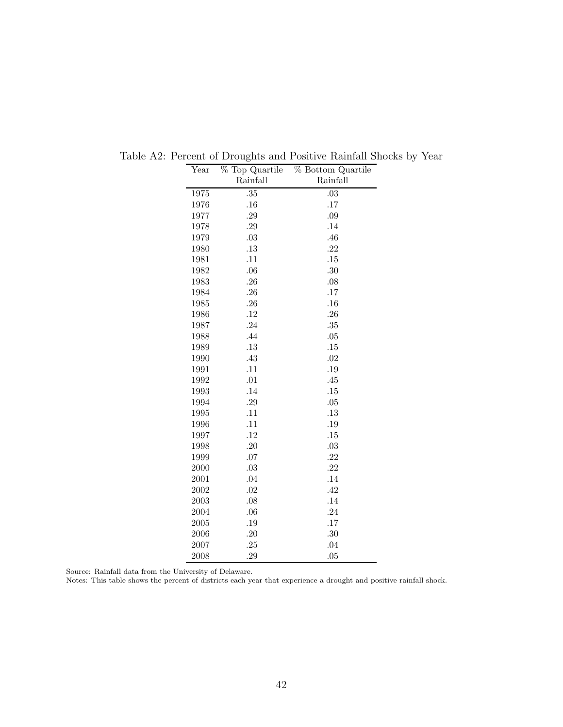| $\operatorname{Year}$ | % Top Quartile | % Bottom Quartile |
|-----------------------|----------------|-------------------|
|                       | Rainfall       | Rainfall          |
| 1975                  | .35            | .03               |
| 1976                  | .16            | .17               |
| 1977                  | .29            | .09               |
| 1978                  | .29            | .14               |
| 1979                  | $.03\,$        | .46               |
| 1980                  | .13            | .22               |
| 1981                  | .11            | .15               |
| 1982                  | .06            | .30               |
| 1983                  | .26            | .08               |
| 1984                  | .26            | .17               |
| 1985                  | .26            | .16               |
| 1986                  | .12            | .26               |
| 1987                  | .24            | .35               |
| 1988                  | .44            | .05               |
| 1989                  | .13            | .15               |
| 1990                  | .43            | .02               |
| 1991                  | .11            | .19               |
| 1992                  | .01            | .45               |
| 1993                  | .14            | .15               |
| 1994                  | $.29\,$        | .05               |
| 1995                  | .11            | .13               |
| 1996                  | .11            | .19               |
| 1997                  | .12            | .15               |
| 1998                  | .20            | .03               |
| 1999                  | .07            | .22               |
| 2000                  | .03            | .22               |
| 2001                  | .04            | .14               |
| 2002                  | .02            | .42               |
| 2003                  | .08            | .14               |
| 2004                  | .06            | .24               |
| 2005                  | .19            | .17               |
| 2006                  | .20            | .30               |
| 2007                  | .25            | .04               |
| 2008                  | .29            | .05               |

Table A2: Percent of Droughts and Positive Rainfall Shocks by Year

Source: Rainfall data from the University of Delaware.

Notes: This table shows the percent of districts each year that experience a drought and positive rainfall shock.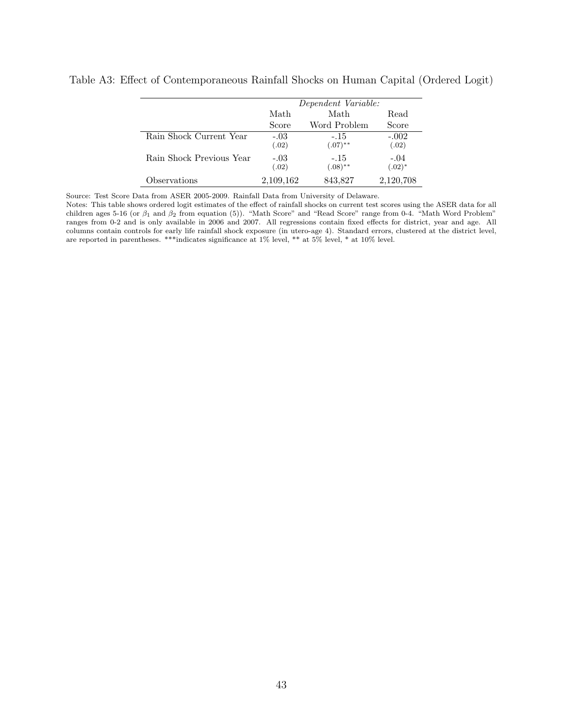|                          |                 | Dependent Variable:  |                     |
|--------------------------|-----------------|----------------------|---------------------|
|                          | Math            | Math                 | Read                |
|                          | Score           | Word Problem         | Score               |
| Rain Shock Current Year  | $-.03$<br>(.02) | $-.15$<br>$(.07)$ ** | $-.002$<br>(.02)    |
| Rain Shock Previous Year | $-.03$<br>(.02) | $-.15$<br>$(.08)$ ** | $-.04$<br>$(.02)^*$ |
| Observations             | 2,109,162       | 843,827              | 2,120,708           |

Table A3: Effect of Contemporaneous Rainfall Shocks on Human Capital (Ordered Logit)

Source: Test Score Data from ASER 2005-2009. Rainfall Data from University of Delaware.

Notes: This table shows ordered logit estimates of the effect of rainfall shocks on current test scores using the ASER data for all children ages 5-16 (or  $\beta_1$  and  $\beta_2$  from equation (5)). "Math Score" and "Read Score" range from 0-4. "Math Word Problem" ranges from 0-2 and is only available in 2006 and 2007. All regressions contain fixed effects for district, year and age. All columns contain controls for early life rainfall shock exposure (in utero-age 4). Standard errors, clustered at the district level, are reported in parentheses. \*\*\*indicates significance at 1% level, \*\* at 5% level, \* at 10% level.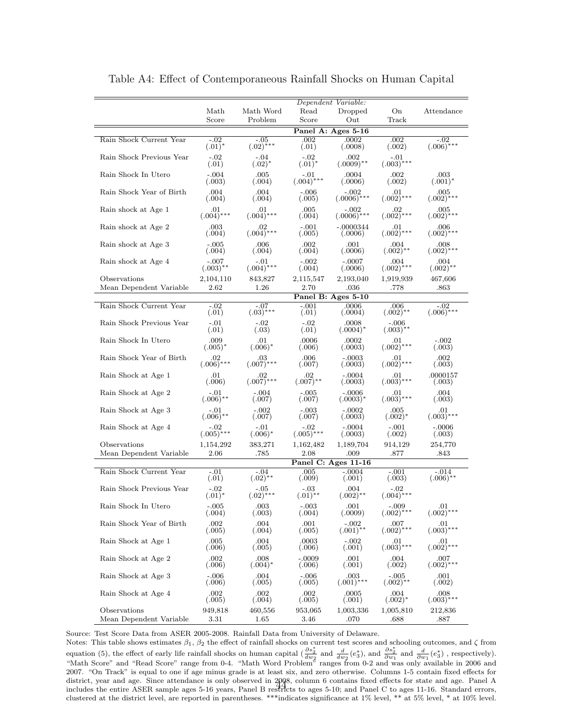|                                         |                         |                          |                        | Dependent Variable:             |                         |                        |
|-----------------------------------------|-------------------------|--------------------------|------------------------|---------------------------------|-------------------------|------------------------|
|                                         | Math                    | Math Word                | Read                   | Dropped                         | On                      | Attendance             |
|                                         | Score                   | Problem                  | Score                  | Out                             | Track                   |                        |
|                                         |                         |                          |                        | Panel A: Ages 5-16              |                         |                        |
| Rain Shock Current Year                 | $-.02$<br>$(.01)^{*}$   | $-.05$<br>$(.02)$ ***    | .002<br>(.01)          | .0002<br>(.0008)                | .002<br>(.002)          | $-.02$<br>$(.006)$ *** |
| Rain Shock Previous Year                | $-.02$<br>(.01)         | $-.04$<br>$(.02)^{*}$    | $-.02$<br>$(.01)^{*}$  | .002<br>$(.0009)$ **            | $-.01$<br>$(.003)$ ***  |                        |
| Rain Shock In Utero                     | $-.004$<br>(.003)       | $.005\,$<br>(.004)       | -.01<br>$(.004)$ ***   | .0004<br>(.0006)                | .002<br>(.002)          | $.003\,$<br>$(.001)^*$ |
| Rain Shock Year of Birth                | .004<br>(.004)          | .004<br>(.004)           | $-.006$<br>(.005)      | $-.002$<br>$(.0006)$ ***        | .01<br>$(.002)$ ***     | .005<br>$(.002)$ ***   |
| Rain shock at Age 1                     | .01<br>$(.004)$ ***     | .01<br>$(.004)$ ***      | .005<br>(.004)         | $-.002$<br>$(.0006)$ ***        | $(0.002)$ ***           | $.005$<br>$(.002)$ *** |
| Rain shock at Age 2                     | .003<br>(.004)          | $_{.02}$<br>$(.004)$ *** | $-.001$<br>(.005)      | -.0000344<br>(.0006)            | $01 \n(0.002)$ ***      | .006<br>$(.002)$ ***   |
| Rain shock at Age 3                     | $-.005$<br>(.004)       | .006<br>(.004)           | .002<br>(.004)         | .001<br>(.0006)                 | .004<br>$(.002)$ **     | .008<br>$(.002)$ ***   |
| Rain shock at Age 4                     | $-.007$<br>$(.003)$ **  | $-.01$<br>$(.004)$ ***   | $-.002$<br>(.004)      | $-.0007$<br>(.0006)             | .004<br>$(.002)$ ***    | .004<br>$(.002)$ **    |
| Observations<br>Mean Dependent Variable | 2,104,110<br>2.62       | 843,827<br>1.26          | 2,115,547<br>2.70      | 2,193,040<br>.036               | 1,919,939<br>.778       | 467,606<br>.863        |
|                                         |                         |                          |                        | Panel B: Ages 5-10              |                         |                        |
| Rain Shock Current Year                 | $-.02$<br>(.01)         | $-.07$<br>$(.03)***$     | $-.001$<br>(.01)       | 0006<br>(.0004)                 | .006<br>$(.002)**$      | $-.02$<br>$(.006)$ *** |
| Rain Shock Previous Year                | $-.01$<br>(.01)         | $-.02$<br>(.03)          | -.02<br>(.01)          | .0008<br>$(.0004)^*$            | -.006<br>$(.003)$ **    |                        |
| Rain Shock In Utero                     | .009<br>$(.005)^*$      | .01<br>$(.006)^*$        | .0006<br>(.006)        | .0002<br>(.0003)                | .01<br>$(.002)$ ***     | $-.002$<br>(.003)      |
| Rain Shock Year of Birth                | $.02\,$<br>$(.006)$ *** | $.03\,$<br>$(.007)$ ***  | .006<br>(.007)         | $-.0003$<br>(.0003)             | .01<br>$(.002)$ ***     | .002<br>(.003)         |
| Rain Shock at Age 1                     | .01<br>(.006)           | $02 \n(0.007)$ ***       | .02<br>$(.007)$ **     | $-.0004$<br>(.0003)             | .01<br>$(.003)$ ***     | .0000157<br>(.003)     |
| Rain Shock at Age 2                     | $-.01$<br>$(.006)$ **   | $-.004$<br>(.007)        | $-.005$<br>(.007)      | $-.0006$<br>$(.0003)^*$         | .01<br>$(.003)$ ***     | .004<br>(.003)         |
| Rain Shock at Age 3                     | $-.01$<br>$(.006)$ **   | $-.002$<br>(.007)        | $-.003$<br>(.007)      | -.0002<br>(.0003)               | .005<br>$(.002)^*$      | .01<br>$(.003)$ ***    |
| Rain Shock at Age 4                     | $(.005)$ ***            | $-.01$<br>$(.006)^*$     | $-.02$<br>$(.005)$ *** | $-.0004$<br>(.0003)             | $-.001$<br>(.002)       | $-.0006$<br>(.003)     |
| Observations                            | 1,154,292               | 383,271                  | 1,162,482              | 1,189,704                       | 914,129                 | 254,770                |
| Mean Dependent Variable                 | 2.06                    | .785                     | 2.08                   | .009                            | .877                    | .843                   |
| Rain Shock Current Year                 | $-.01$                  | -.04                     | $.005\,$               | Panel C: Ages 11-16<br>$-.0004$ | $-.001$                 | -.014                  |
|                                         | (.01)                   | $(.02)$ **               | (.009)                 | (.001)                          | (.003)                  | $(.006)$ **            |
| Rain Shock Previous Year                | $-.02$<br>$(.01)^{*}$   | -.05<br>$(.02)$ ***      | -.03<br>$(.01)$ **     | .004<br>$(.002)$ **             | -.02<br>$(.004)$ ***    |                        |
| Rain Shock In Utero                     | $-.005$<br>(.004)       | 003<br>(.003)            | $-.003$<br>(.004)      | 001.<br>(.0009)                 | $-.009$<br>$(.002)$ *** | .01<br>$(.002)$ ***    |
| Rain Shock Year of Birth                | .002<br>(.005)          | .004<br>(.004)           | .001<br>(.005)         | $(.001)$ **                     | $.007$<br>$(.002)$ ***  | $(0.003)$ ***          |
| Rain Shock at Age 1                     | .005<br>(.006)          | 004<br>(.005)            | .0003<br>(.006)        | $-.002$<br>(.001)               | $(0.003)$ ***           | $(0.002)$ ***          |
| Rain Shock at Age 2                     | .002<br>(.006)          | .008<br>$(.004)^*$       | -.0009<br>(.006)       | 001.<br>(.001)                  | .004<br>(.002)          | .007<br>$(.002)$ ***   |
| Rain Shock at Age 3                     | $-.006$<br>(.006)       | .004<br>(.005)           | $-.006$<br>(.005)      | .003<br>$(.001)$ ***            | -.005<br>$(.002)$ **    | .001<br>(.002)         |
| Rain Shock at Age 4                     | .002<br>(.005)          | 002<br>(.004)            | .002<br>(.005)         | .0005<br>(.001)                 | .004<br>$(.002)^*$      | .008<br>$(.003)$ ***   |
| Observations<br>Mean Dependent Variable | 949,818<br>3.31         | 460,556<br>1.65          | 953,065<br>3.46        | 1,003,336<br>.070               | 1,005,810<br>.688       | 212,836<br>.887        |

Table A4: Effect of Contemporaneous Rainfall Shocks on Human Capital

Source: Test Score Data from ASER 2005-2008. Rainfall Data from University of Delaware.

Notes: This table shows estimates  $\beta_1$ ,  $\beta_2$  the effect of rainfall shocks on current test scores and schooling outcomes, and  $\zeta$  from<br>equation (5), the effect of early life rainfall shocks on human capital ( $\frac{\partial s_$ "Math Score" and "Read Score" range from 0-4. "Math Word Problem" ranges from 0-2 and was only available in 2006 and 2007. "On Track" is equal to one if age minus grade is at least six, and zero otherwise. Columns 1-5 contain fixed effects for district, year and age. Since attendance is only observed in 2008, column 6 contains fixed effects for state and age. Panel A district, year and age. Since attendance is only observed in 2008, column 6 contains fixed effects for state and age. Panel A<br>includes the entire ASER sample ages 5-16 years, Panel B restricts to ages 5-10; and Panel C to clustered at the district level, are reported in parentheses. \*\*\*indicates significance at 1% level, \*\* at 5% level, \* at 10% level.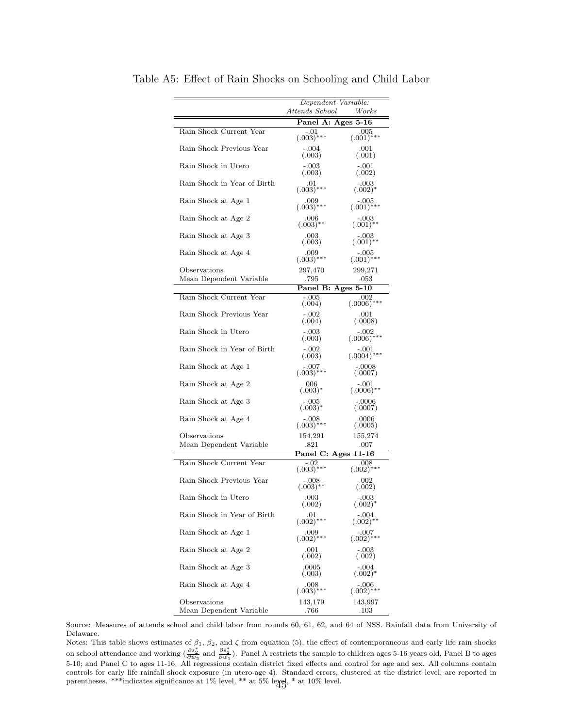|                                         | Dependent Variable:<br>Attends School |                          |
|-----------------------------------------|---------------------------------------|--------------------------|
|                                         | Panel A: Ages 5-16                    | Works                    |
| Rain Shock Current Year                 | $-.01$                                | .005                     |
|                                         | $(.003)$ ***                          | $(.001)$ ***             |
| Rain Shock Previous Year                | $-.004$<br>(.003)                     | .001<br>(.001)           |
| Rain Shock in Utero                     | $-.003$<br>(.003)                     | $-.001$<br>(.002)        |
| Rain Shock in Year of Birth             | .01<br>$(.003)$ ***                   | -.003<br>$(.002)^*$      |
| Rain Shock at Age 1                     | .009<br>$(.003)$ ***                  | -.005<br>$(.001)$ ***    |
| Rain Shock at Age 2                     | .006<br>$(.003)$ **                   | -.003<br>$(.001)$ **     |
| Rain Shock at Age 3                     | .003<br>(.003)                        | -.003<br>$(.001)$ **     |
| Rain Shock at Age 4                     | .009<br>$(.003)$ ***                  | $-.005$<br>$(.001)$ ***  |
| Observations                            | 297,470                               | 299,271                  |
| Mean Dependent Variable                 | .795                                  | .053                     |
|                                         | Panel B: Ages 5-10                    |                          |
| Rain Shock Current Year                 | $-.005$<br>(.004)                     | .002<br>$(.0006)****$    |
| Rain Shock Previous Year                | $-.002$<br>(.004)                     | .001<br>(.0008)          |
| Rain Shock in Utero                     | $-.003$<br>(.003)                     | -.002<br>$(.0006)$ ***   |
| Rain Shock in Year of Birth             | $-.002$<br>(.003)                     | $-.001$<br>$(.0004)$ *** |
| Rain Shock at Age 1                     | -.007<br>$(.003)$ ***                 | $-.0008$<br>(.0007)      |
| Rain Shock at Age 2                     | 006<br>$(.003)^*$                     | -.001<br>$(.0006)$ **    |
| Rain Shock at Age 3                     | -.005<br>$(.003)^*$                   | $-0.0006$<br>(.0007)     |
| Rain Shock at Age 4                     | -.008<br>$(.003)$ ***                 | .0006<br>(.0005)         |
| Observations                            | 154,291                               | 155,274                  |
| Mean Dependent Variable                 | .821                                  | .007                     |
|                                         | Panel C: Ages 11-16                   |                          |
| Rain Shock Current Year                 | $(.003)$ ***                          | .008<br>$(.002)$ ***     |
| Rain Shock Previous Year                | $-.008$<br>$(.003)$ **                | .002<br>(.002)           |
| Rain Shock in Utero                     | .003<br>(.002)                        | $-.003$<br>$(.002)^*$    |
| Rain Shock in Year of Birth             | .01<br>$(.002)$ ***                   | -.004<br>$(.002)$ **     |
| Rain Shock at Age 1                     | .009<br>$(.002)$ ***                  | -.007<br>$(.002)$ ***    |
| Rain Shock at Age 2                     | .001<br>(.002)                        | $-.003$<br>(.002)        |
| Rain Shock at Age 3                     | .0005<br>(.003)                       | -.004<br>$(.002)^*$      |
| Rain Shock at Age 4                     | .008<br>$(.003)$ ***                  | -.006<br>$(.002)$ ***    |
| Observations<br>Mean Dependent Variable | 143,179<br>.766                       | 143,997<br>.103          |

Table A5: Effect of Rain Shocks on Schooling and Child Labor

Source: Measures of attends school and child labor from rounds 60, 61, 62, and 64 of NSS. Rainfall data from University of Delaware.

Notes: This table shows estimates of  $\beta_1$ ,  $\beta_2$ , and  $\zeta$  from equation (5), the effect of contemporaneous and early life rain shocks<br>on school attendance and working  $(\frac{\partial s_2^*}{\partial w_2}$  and  $\frac{\partial s_2^*}{\partial w_1})$ . Panel 5-10; and Panel C to ages 11-16. All regressions contain district fixed effects and control for age and sex. All columns contain controls for early life rainfall shock exposure (in utero-age 4). Standard errors, clustered at the district level, are reported in parentheses. \*\*\*indicates significance at 1% level, \*\* at 5% level, \* at 10% level.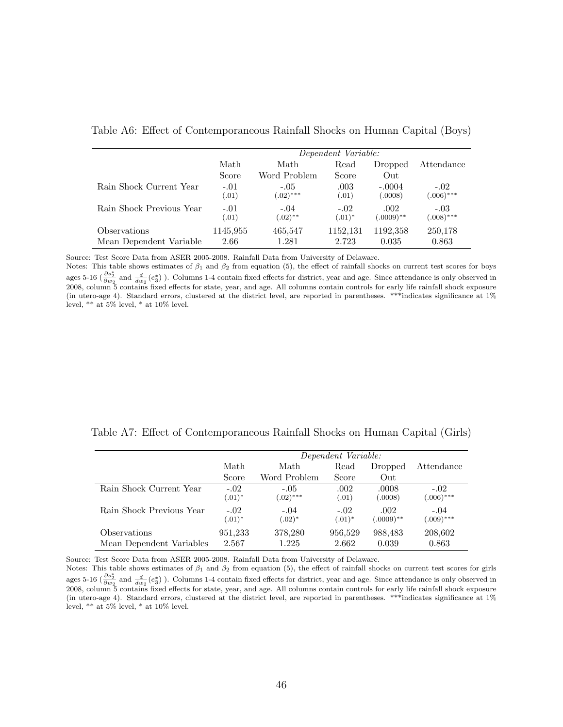|                          | Dependent Variable: |                       |                     |                      |                        |  |
|--------------------------|---------------------|-----------------------|---------------------|----------------------|------------------------|--|
|                          | Math                | Math                  | Read                | Dropped              | Attendance             |  |
|                          | Score               | Word Problem          | Score               | Out                  |                        |  |
| Rain Shock Current Year  | $-.01$<br>(.01)     | $-.05$<br>$(.02)$ *** | .003<br>(.01)       | $-.0004$<br>(.0008)  | $-.02$<br>$(.006)$ *** |  |
| Rain Shock Previous Year | $-.01$<br>(.01)     | $-.04$<br>$(.02)$ **  | $-.02$<br>$(.01)^*$ | .002<br>$(.0009)$ ** | $-.03$<br>$(.008)$ *** |  |
| Observations             | 1145,955            | 465,547               | 1152,131            | 1192,358             | 250,178                |  |
| Mean Dependent Variable  | 2.66                | 1.281                 | 2.723               | 0.035                | 0.863                  |  |

Table A6: Effect of Contemporaneous Rainfall Shocks on Human Capital (Boys)

Source: Test Score Data from ASER 2005-2008. Rainfall Data from University of Delaware.

Notes: This table shows estimates of  $\beta_1$  and  $\beta_2$  from equation (5), the effect of rainfall shocks on current test scores for boys ages 5-16 ( $\frac{\partial s_2^*}{\partial w_2}$  and  $\frac{d}{dw_2}(e_3^*)$ ). Columns 1-4 contain fixed effects for district, year and age. Since attendance is only observed in 2008, column 5 contains fixed effects for state, year, and age. All columns contain controls for early life rainfall shock exposure (in utero-age 4). Standard errors, clustered at the district level, are reported in parentheses. \*\*\*indicates significance at 1% level, \*\* at 5% level, \* at 10% level.

Table A7: Effect of Contemporaneous Rainfall Shocks on Human Capital (Girls)

|                          | Dependent Variable:   |                       |                     |                      |                        |
|--------------------------|-----------------------|-----------------------|---------------------|----------------------|------------------------|
|                          | Math                  | Math                  | Read                | Dropped              | Attendance             |
|                          | Score                 | Word Problem          | Score               | Out                  |                        |
| Rain Shock Current Year  | $-.02$<br>$(.01)^{*}$ | $-.05$<br>$(.02)$ *** | .002<br>(.01)       | .0008<br>(.0008)     | $-.02$<br>$(.006)$ *** |
| Rain Shock Previous Year | $-.02$<br>$(.01)^*$   | $-.04$<br>$(.02)^*$   | $-.02$<br>$(.01)^*$ | .002<br>$(.0009)$ ** | $-.04$<br>$(.009)$ *** |
| Observations             | 951,233               | 378,280               | 956,529             | 988,483              | 208,602                |
| Mean Dependent Variables | 2.567                 | 1.225                 | 2.662               | 0.039                | 0.863                  |

Source: Test Score Data from ASER 2005-2008. Rainfall Data from University of Delaware.

Notes: This table shows estimates of  $\beta_1$  and  $\beta_2$  from equation (5), the effect of rainfall shocks on current test scores for girls ages 5-16 ( $\frac{\partial s_2^*}{\partial w_2}$  and  $\frac{d}{dw_2}(e_3^*)$ ). Columns 1-4 contain fixed effects for district, year and age. Since attendance is only observed in 2008, column 5 contains fixed effects for state, year, and age. All columns contain controls for early life rainfall shock exposure (in utero-age 4). Standard errors, clustered at the district level, are reported in parentheses. \*\*\*indicates significance at 1% level, \*\* at 5% level, \* at 10% level.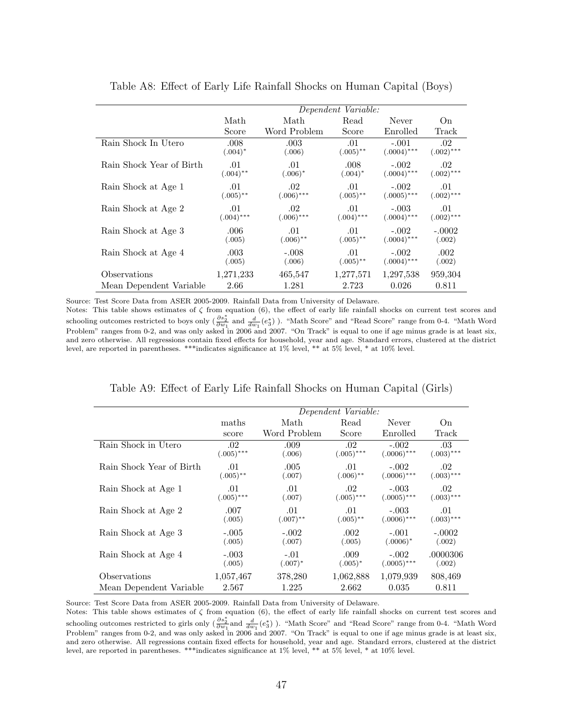|                          | Dependent Variable: |              |                        |               |                |
|--------------------------|---------------------|--------------|------------------------|---------------|----------------|
|                          | Math                | Math         | Read                   | Never         | O <sub>n</sub> |
|                          | Score               | Word Problem | Score                  | Enrolled      | Track          |
| Rain Shock In Utero      | .008                | .003         | .01                    | $-.001$       | .02            |
|                          | $(.004)^*$          | (.006)       | $(.005)$ **            | $(.0004)$ *** | $(.002)$ ***   |
| Rain Shock Year of Birth | .01                 | .01          | .008                   | $-.002$       | .02            |
|                          | $(.004)$ **         | $(.006)^*$   | $(.004)^*$             | $(.0004)$ *** | $(.002)$ ***   |
| Rain Shock at Age 1      | .01                 | $.02\,$      | .01                    | $-.002$       | .01            |
|                          | $(.005)$ **         | $(.006)$ *** | $(.005)$ **            | $(.0005)$ *** | $(.002)$ ***   |
| Rain Shock at Age 2      | .01                 | .02          | .01                    | $-.003$       | .01            |
|                          | $(.004)$ ***        | $(.006)$ *** | $(.004)$ ***           | $(.0004)$ *** | $(.002)$ ***   |
| Rain Shock at Age 3      | .006                | .01          | .01                    | $-.002$       | $-.0002$       |
|                          | (.005)              | $(.006)$ **  | $(.005)$ **            | $(.0004)$ *** | (.002)         |
| Rain Shock at Age 4      | .003                | $-.008$      | .01                    | $-.002$       | .002           |
|                          | (.005)              | (.006)       | $(.005)$ <sup>**</sup> | $(.0004)$ *** | (.002)         |
| Observations             | 1,271,233           | 465,547      | 1,277,571              | 1,297,538     | 959,304        |
| Mean Dependent Variable  | 2.66                | 1.281        | 2.723                  | 0.026         | 0.811          |

Table A8: Effect of Early Life Rainfall Shocks on Human Capital (Boys)

Source: Test Score Data from ASER 2005-2009. Rainfall Data from University of Delaware.

Notes: This table shows estimates of  $\zeta$  from equation (6), the effect of early life rainfall shocks on current test scores and schooling outcomes restricted to boys only  $\left(\frac{\partial s_2^*}{\partial w_1}\right)$  and  $\frac{d}{dw_1}(e_3^*)$  ). "Math Score" and "Read Score" range from 0-4. "Math Word Problem" ranges from 0-2, and was only asked in 2006 and 2007. "On Track" is equal to one if age minus grade is at least six, and zero otherwise. All regressions contain fixed effects for household, year and age. Standard errors, clustered at the district level, are reported in parentheses. \*\*\*indicates significance at 1% level, \*\* at 5% level, \* at 10% level.

|                          | Dependent Variable: |              |              |               |              |
|--------------------------|---------------------|--------------|--------------|---------------|--------------|
|                          | maths               | Math         | Read         | Never         | On           |
|                          | score               | Word Problem | Score        | Enrolled      | Track        |
| Rain Shock in Utero      | $.02\,$             | .009         | .02          | $-.002$       | .03          |
|                          | $(.005)$ ***        | (.006)       | $(.005)$ *** | $(.0006)$ *** | $(.003)$ *** |
| Rain Shock Year of Birth | .01                 | .005         | .01          | $-.002$       | .02          |
|                          | $(.005)$ **         | (.007)       | $(.006)$ **  | $(.0006)$ *** | $(.003)$ *** |
| Rain Shock at Age 1      | .01                 | .01          | .02          | $-.003$       | .02          |
|                          | $(.005)$ ***        | (.007)       | $(.005)$ *** | $(.0005)$ *** | $(.003)$ *** |
| Rain Shock at Age 2      | .007                | .01          | .01          | $-.003$       | .01          |
|                          | (.005)              | $(.007)$ **  | $(.005)$ **  | $(.0006)$ *** | $(.003)$ *** |
| Rain Shock at Age 3      | $-.005$             | $-.002$      | .002         | $-.001$       | $-.0002$     |
|                          | (.005)              | (.007)       | (.005)       | $(.0006)*$    | (.002)       |
| Rain Shock at Age 4      | $-.003$             | $-.01$       | .009         | $-.002$       | .0000306     |
|                          | (.005)              | $(.007)^*$   | $(.005)^*$   | $(.0005)$ *** | (.002)       |
| Observations             | 1,057,467           | 378,280      | 1,062,888    | 1,079,939     | 808,469      |
| Mean Dependent Variable  | 2.567               | 1.225        | 2.662        | 0.035         | 0.811        |

|  | Table A9: Effect of Early Life Rainfall Shocks on Human Capital (Girls) |  |  |  |
|--|-------------------------------------------------------------------------|--|--|--|
|--|-------------------------------------------------------------------------|--|--|--|

Source: Test Score Data from ASER 2005-2009. Rainfall Data from University of Delaware.

Notes: This table shows estimates of  $\zeta$  from equation (6), the effect of early life rainfall shocks on current test scores and schooling outcomes restricted to girls only  $\left(\frac{\partial s_2^*}{\partial w_1}\right)$  and  $\frac{d}{dw_1}(e_3^*)$  ). "Math Score" and "Read Score" range from 0-4. "Math Word Problem" ranges from 0-2, and was only asked in 2006 and 2007. "On Track" is equal to one if age minus grade is at least six, and zero otherwise. All regressions contain fixed effects for household, year and age. Standard errors, clustered at the district level, are reported in parentheses. \*\*\*indicates significance at 1% level, \*\* at 5% level, \* at 10% level.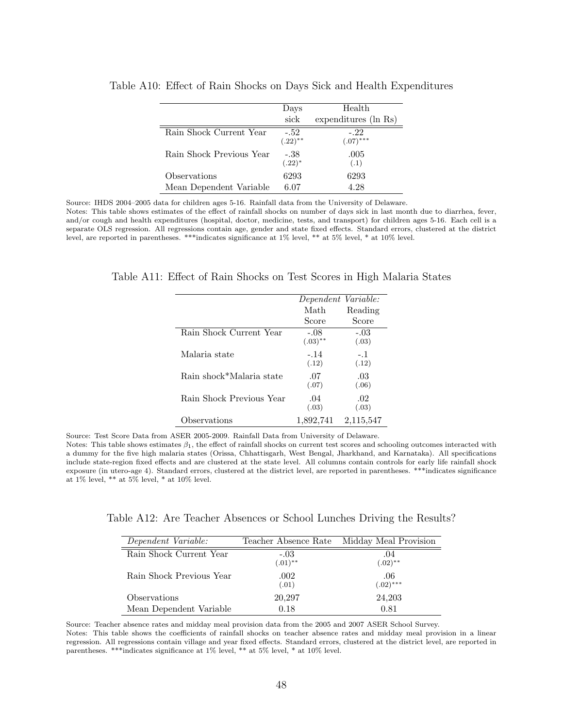|                          | Days                 | Health                |
|--------------------------|----------------------|-----------------------|
|                          | sick                 | expenditures (ln Rs)  |
| Rain Shock Current Year  | $-.52$<br>$(.22)$ ** | $-.22$<br>$(.07)$ *** |
| Rain Shock Previous Year | -.38<br>$(.22)^*$    | .005<br>(.1)          |
| Observations             | 6293                 | 6293                  |
| Mean Dependent Variable  | 6.07                 | 4.28                  |

Table A10: Effect of Rain Shocks on Days Sick and Health Expenditures

Source: IHDS 2004–2005 data for children ages 5-16. Rainfall data from the University of Delaware.

Notes: This table shows estimates of the effect of rainfall shocks on number of days sick in last month due to diarrhea, fever, and/or cough and health expenditures (hospital, doctor, medicine, tests, and transport) for children ages 5-16. Each cell is a separate OLS regression. All regressions contain age, gender and state fixed effects. Standard errors, clustered at the district level, are reported in parentheses. \*\*\*indicates significance at 1% level, \*\* at 5% level, \* at 10% level.

Table A11: Effect of Rain Shocks on Test Scores in High Malaria States

|                          | Dependent Variable:  |                 |
|--------------------------|----------------------|-----------------|
|                          | Math                 | Reading         |
|                          | Score                | Score           |
| Rain Shock Current Year  | $-.08$<br>$(.03)$ ** | $-.03$<br>(.03) |
| Malaria state            | $-.14$<br>(.12)      | $-.1$<br>(.12)  |
| Rain shock*Malaria state | .07<br>(.07)         | .03<br>(.06)    |
| Rain Shock Previous Year | .04<br>(.03)         | .02<br>(.03)    |
| Observations             | 1,892,741            | 2,115,547       |

Source: Test Score Data from ASER 2005-2009. Rainfall Data from University of Delaware.

Notes: This table shows estimates  $\beta_1$ , the effect of rainfall shocks on current test scores and schooling outcomes interacted with a dummy for the five high malaria states (Orissa, Chhattisgarh, West Bengal, Jharkhand, and Karnataka). All specifications include state-region fixed effects and are clustered at the state level. All columns contain controls for early life rainfall shock exposure (in utero-age 4). Standard errors, clustered at the district level, are reported in parentheses. \*\*\*indicates significance at 1% level,  $^{**}$  at 5% level,  $^*$  at 10% level.

| Table A12: Are Teacher Absences or School Lunches Driving the Results? |  |  |  |  |
|------------------------------------------------------------------------|--|--|--|--|
|------------------------------------------------------------------------|--|--|--|--|

| Dependent Variable:      |                      | Teacher Absence Rate Midday Meal Provision |
|--------------------------|----------------------|--------------------------------------------|
| Rain Shock Current Year  | $-.03$<br>$(.01)$ ** | .04<br>$(.02)$ **                          |
| Rain Shock Previous Year | .002<br>(.01)        | .06<br>$(.02)$ ***                         |
| Observations             | 20,297               | 24,203                                     |
| Mean Dependent Variable  | 0.18                 | 0.81                                       |

Source: Teacher absence rates and midday meal provision data from the 2005 and 2007 ASER School Survey.

Notes: This table shows the coefficients of rainfall shocks on teacher absence rates and midday meal provision in a linear regression. All regressions contain village and year fixed effects. Standard errors, clustered at the district level, are reported in parentheses. \*\*\*indicates significance at 1% level, \*\* at 5% level, \* at 10% level.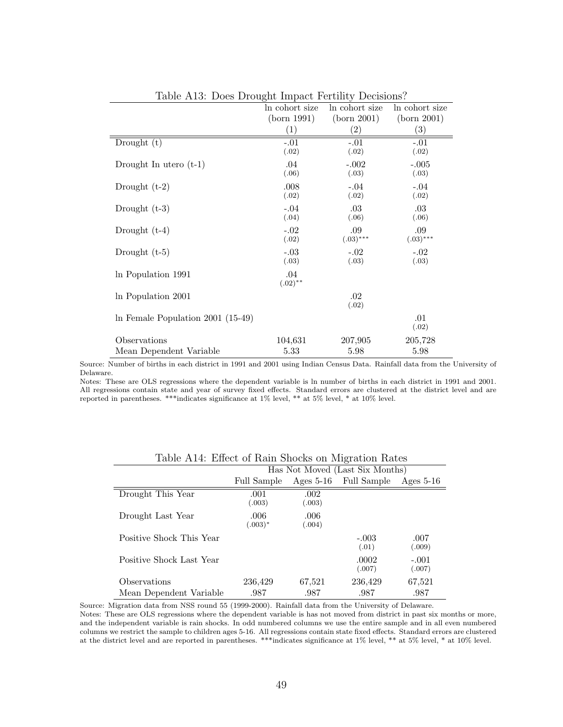|                                     | <b>.</b><br>ln cohort size | ln cohort size     | In cohort size     |
|-------------------------------------|----------------------------|--------------------|--------------------|
|                                     | (born 1991)                | (born 2001)        | (born 2001)        |
|                                     | $\left(1\right)$           | (2)                | $\left( 3\right)$  |
| Drought $(t)$                       | $-.01$<br>(.02)            | $-.01$<br>(.02)    | $-.01$<br>(.02)    |
| Drought In utero $(t-1)$            | .04<br>(.06)               | $-.002$<br>(.03)   | $-.005$<br>(.03)   |
| Drought $(t-2)$                     | .008<br>(.02)              | $-.04$<br>(.02)    | $-.04$<br>(.02)    |
| Drought $(t-3)$                     | $-.04$<br>(.04)            | .03<br>(.06)       | .03<br>(.06)       |
| Drought $(t-4)$                     | $-.02$<br>(.02)            | .09<br>$(.03)$ *** | .09<br>$(.03)$ *** |
| Drought $(t-5)$                     | $-.03$<br>(.03)            | $-.02$<br>(.03)    | $-.02$<br>(.03)    |
| In Population 1991                  | .04<br>$(.02)$ **          |                    |                    |
| In Population 2001                  |                            | .02<br>(.02)       |                    |
| In Female Population $2001$ (15-49) |                            |                    | .01<br>(.02)       |
| Observations                        | 104,631                    | 207,905            | 205,728            |
| Mean Dependent Variable             | 5.33                       | 5.98               | 5.98               |

Table A13: Does Drought Impact Fertility Decisions?

Source: Number of births in each district in 1991 and 2001 using Indian Census Data. Rainfall data from the University of Delaware.

Notes: These are OLS regressions where the dependent variable is ln number of births in each district in 1991 and 2001. All regressions contain state and year of survey fixed effects. Standard errors are clustered at the district level and are reported in parentheses. \*\*\*indicates significance at 1% level, \*\* at 5% level, \* at 10% level.

| Table 1111, Effect of Team blioche on migration Teated |                                 |                |                  |                   |
|--------------------------------------------------------|---------------------------------|----------------|------------------|-------------------|
|                                                        | Has Not Moved (Last Six Months) |                |                  |                   |
|                                                        | Full Sample                     | Ages $5-16$    | Full Sample      | Ages $5-16$       |
| Drought This Year                                      | .001<br>(.003)                  | .002<br>(.003) |                  |                   |
| Drought Last Year                                      | .006<br>$(.003)^*$              | .006<br>(.004) |                  |                   |
| Positive Shock This Year                               |                                 |                | $-.003$<br>(.01) | .007<br>(.009)    |
| Positive Shock Last Year                               |                                 |                | .0002<br>(.007)  | $-.001$<br>(.007) |
| Observations                                           | 236,429                         | 67,521         | 236,429          | 67,521            |
| Mean Dependent Variable                                | .987                            | .987           | .987             | .987              |

Table A14: Effect of Rain Shocks on Migration Rates

Source: Migration data from NSS round 55 (1999-2000). Rainfall data from the University of Delaware.

Notes: These are OLS regressions where the dependent variable is has not moved from district in past six months or more, and the independent variable is rain shocks. In odd numbered columns we use the entire sample and in all even numbered columns we restrict the sample to children ages 5-16. All regressions contain state fixed effects. Standard errors are clustered at the district level and are reported in parentheses. \*\*\*indicates significance at 1% level, \*\* at 5% level, \* at 10% level.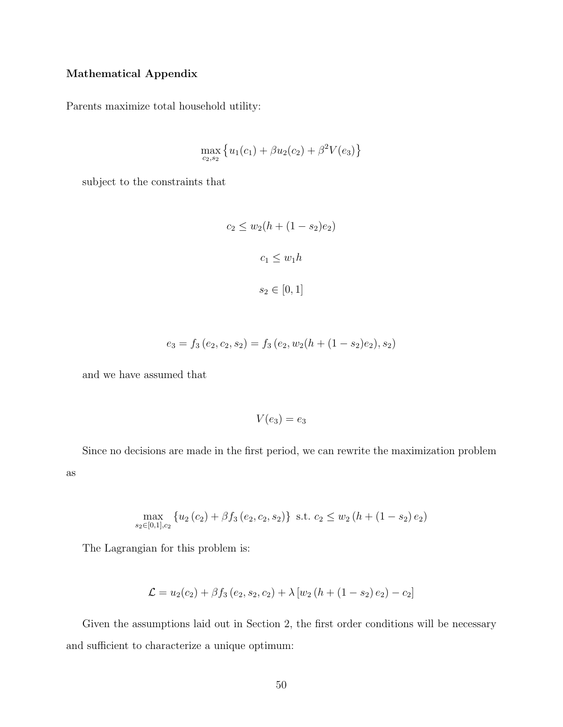### Mathematical Appendix

Parents maximize total household utility:

$$
\max_{c_2, s_2} \left\{ u_1(c_1) + \beta u_2(c_2) + \beta^2 V(e_3) \right\}
$$

subject to the constraints that

$$
c_2 \le w_2(h + (1 - s_2)e_2)
$$

$$
c_1 \le w_1 h
$$

$$
s_2 \in [0, 1]
$$

$$
e_3 = f_3(e_2, c_2, s_2) = f_3(e_2, w_2(h + (1 - s_2)e_2), s_2)
$$

and we have assumed that

$$
V(e_3)=e_3
$$

Since no decisions are made in the first period, we can rewrite the maximization problem as

$$
\max_{s_2 \in [0,1], c_2} \{ u_2(c_2) + \beta f_3(e_2, c_2, s_2) \} \text{ s.t. } c_2 \le w_2(h + (1 - s_2) e_2)
$$

The Lagrangian for this problem is:

$$
\mathcal{L} = u_2(c_2) + \beta f_3(e_2, s_2, c_2) + \lambda [w_2(h + (1 - s_2)e_2) - c_2]
$$

Given the assumptions laid out in Section 2, the first order conditions will be necessary and sufficient to characterize a unique optimum: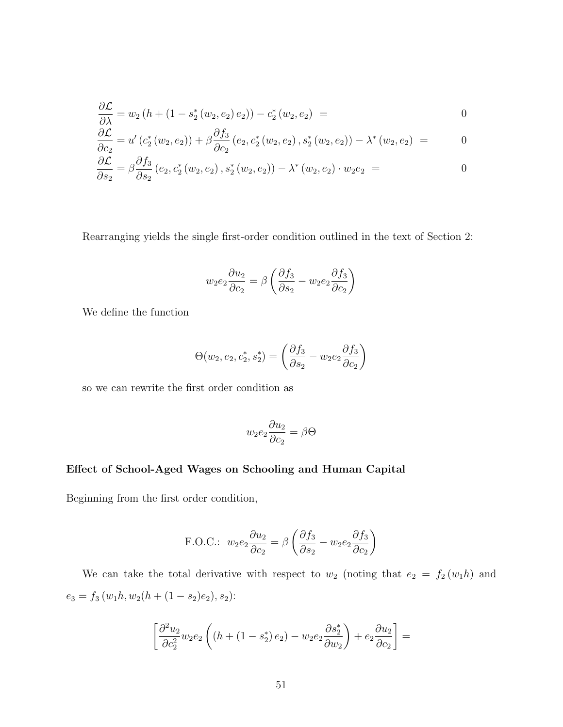$$
\frac{\partial \mathcal{L}}{\partial \lambda} = w_2 (h + (1 - s_2^*(w_2, e_2) e_2)) - c_2^*(w_2, e_2) = 0
$$

$$
\frac{\partial \mathcal{L}}{\partial c_2} = u' \left( c_2^* \left( w_2, e_2 \right) \right) + \beta \frac{\partial f_3}{\partial c_2} \left( e_2, c_2^* \left( w_2, e_2 \right), s_2^* \left( w_2, e_2 \right) \right) - \lambda^* \left( w_2, e_2 \right) = 0
$$

$$
\frac{\partial \mathcal{L}}{\partial s_2} = \beta \frac{\partial f_3}{\partial s_2} (e_2, c_2^*(w_2, e_2), s_2^*(w_2, e_2)) - \lambda^*(w_2, e_2) \cdot w_2 e_2 = 0
$$

Rearranging yields the single first-order condition outlined in the text of Section 2:

$$
w_2 e_2 \frac{\partial u_2}{\partial c_2} = \beta \left( \frac{\partial f_3}{\partial s_2} - w_2 e_2 \frac{\partial f_3}{\partial c_2} \right)
$$

We define the function

$$
\Theta(w_2, e_2, c_2^*, s_2^*) = \left(\frac{\partial f_3}{\partial s_2} - w_2 e_2 \frac{\partial f_3}{\partial c_2}\right)
$$

so we can rewrite the first order condition as

$$
w_2e_2\frac{\partial u_2}{\partial c_2}=\beta\Theta
$$

### Effect of School-Aged Wages on Schooling and Human Capital

Beginning from the first order condition,

F.O.C.: 
$$
w_2 e_2 \frac{\partial u_2}{\partial c_2} = \beta \left( \frac{\partial f_3}{\partial s_2} - w_2 e_2 \frac{\partial f_3}{\partial c_2} \right)
$$

We can take the total derivative with respect to  $w_2$  (noting that  $e_2 = f_2(w_1h)$  and  $e_3 = f_3(w_1h, w_2(h + (1 - s_2)e_2), s_2)$ :

$$
\left[\frac{\partial^2 u_2}{\partial c_2^2}w_2e_2\left(\left(h+\left(1-s_2^*\right)e_2\right)-w_2e_2\frac{\partial s_2^*}{\partial w_2}\right)+e_2\frac{\partial u_2}{\partial c_2}\right]=
$$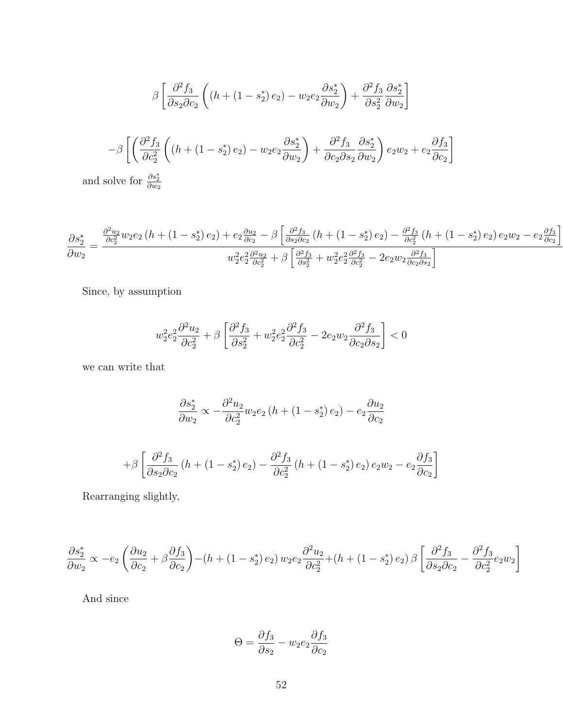$$
\beta \left[ \frac{\partial^2 f_3}{\partial s_2 \partial c_2} \left( (h + (1 - s_2^*) e_2) - w_2 e_2 \frac{\partial s_2^*}{\partial w_2} \right) + \frac{\partial^2 f_3}{\partial s_2^2} \frac{\partial s_2^*}{\partial w_2} \right]
$$

$$
-\beta \left[ \left( \frac{\partial^2 f_3}{\partial c_2^2} \left( (h + (1 - s_2^*) e_2) - w_2 e_2 \frac{\partial s_2^*}{\partial w_2} \right) + \frac{\partial^2 f_3}{\partial c_2 \partial s_2} \frac{\partial s_2^*}{\partial w_2} \right) e_2 w_2 + e_2 \frac{\partial f_3}{\partial c_2} \right]
$$

and solve for  $\frac{\partial s_2^*}{\partial w_2}$ 

$$
\frac{\partial s_2^*}{\partial w_2} = \frac{\frac{\partial^2 u_2}{\partial c_2^2} w_2 e_2 \left(h + \left(1 - s_2^*\right) e_2\right) + e_2 \frac{\partial u_2}{\partial c_2} - \beta \left[\frac{\partial^2 f_3}{\partial s_2 \partial c_2} \left(h + \left(1 - s_2^*\right) e_2\right) - \frac{\partial^2 f_3}{\partial c_2^2} \left(h + \left(1 - s_2^*\right) e_2\right) e_2 w_2 - e_2 \frac{\partial f_3}{\partial c_2}\right)}{w_2^2 e_2^2 \frac{\partial^2 u_2}{\partial c_2^2} + \beta \left[\frac{\partial^2 f_3}{\partial s_2^2} + w_2^2 e_2^2 \frac{\partial^2 f_3}{\partial c_2^2} - 2e_2 w_2 \frac{\partial^2 f_3}{\partial c_2 \partial s_2}\right]}
$$

Since, by assumption

$$
w_2^2 e_2^2 \frac{\partial^2 u_2}{\partial c_2^2} + \beta \left[ \frac{\partial^2 f_3}{\partial s_2^2} + w_2^2 e_2^2 \frac{\partial^2 f_3}{\partial c_2^2} - 2e_2 w_2 \frac{\partial^2 f_3}{\partial c_2 \partial s_2} \right] < 0
$$

we can write that

$$
\frac{\partial s_2^*}{\partial w_2} \propto -\frac{\partial^2 u_2}{\partial c_2^2} w_2 e_2 \left(h + \left(1 - s_2^*\right) e_2\right) - e_2 \frac{\partial u_2}{\partial c_2}
$$

$$
+\beta \left[\frac{\partial^2 f_3}{\partial s_2 \partial c_2} \left(h + (1 - s_2^*) e_2\right) - \frac{\partial^2 f_3}{\partial c_2^2} \left(h + (1 - s_2^*) e_2\right) e_2 w_2 - e_2 \frac{\partial f_3}{\partial c_2}\right]
$$

Rearranging slightly,

$$
\frac{\partial s_2^*}{\partial w_2} \propto -e_2 \left( \frac{\partial u_2}{\partial c_2} + \beta \frac{\partial f_3}{\partial c_2} \right) - (h + (1 - s_2^*) e_2) w_2 e_2 \frac{\partial^2 u_2}{\partial c_2^2} + (h + (1 - s_2^*) e_2) \beta \left[ \frac{\partial^2 f_3}{\partial s_2 \partial c_2} - \frac{\partial^2 f_3}{\partial c_2^2} e_2 w_2 \right]
$$

And since

$$
\Theta = \frac{\partial f_3}{\partial s_2} - w_2 e_2 \frac{\partial f_3}{\partial c_2}
$$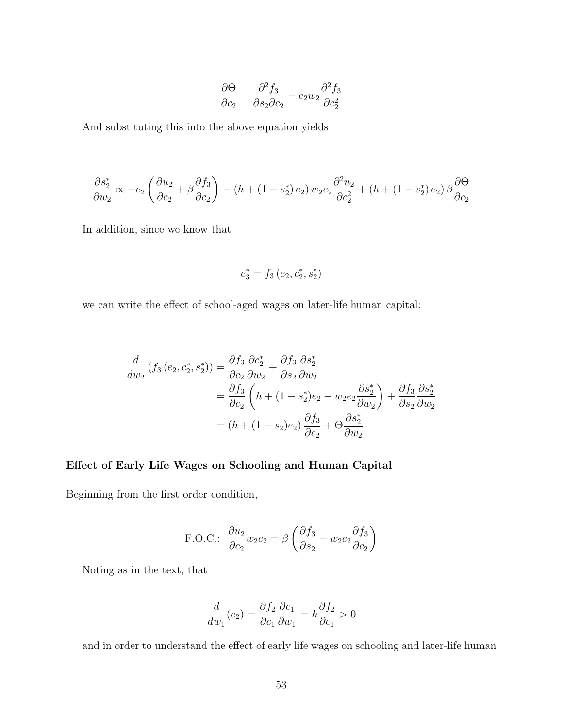$$
\frac{\partial \Theta}{\partial c_2} = \frac{\partial^2 f_3}{\partial s_2 \partial c_2} - e_2 w_2 \frac{\partial^2 f_3}{\partial c_2^2}
$$

And substituting this into the above equation yields

$$
\frac{\partial s_2^*}{\partial w_2} \propto -e_2 \left( \frac{\partial u_2}{\partial c_2} + \beta \frac{\partial f_3}{\partial c_2} \right) - \left( h + (1 - s_2^*) e_2 \right) w_2 e_2 \frac{\partial^2 u_2}{\partial c_2^2} + \left( h + (1 - s_2^*) e_2 \right) \beta \frac{\partial \Theta}{\partial c_2}
$$

In addition, since we know that

$$
e_3^* = f_3\left(e_2, c_2^*, s_2^*\right)
$$

we can write the effect of school-aged wages on later-life human capital:

$$
\frac{d}{dw_2} \left( f_3 \left( e_2, c_2^*, s_2^* \right) \right) = \frac{\partial f_3}{\partial c_2} \frac{\partial c_2^*}{\partial w_2} + \frac{\partial f_3}{\partial s_2} \frac{\partial s_2^*}{\partial w_2}
$$
\n
$$
= \frac{\partial f_3}{\partial c_2} \left( h + (1 - s_2^*) e_2 - w_2 e_2 \frac{\partial s_2^*}{\partial w_2} \right) + \frac{\partial f_3}{\partial s_2} \frac{\partial s_2^*}{\partial w_2}
$$
\n
$$
= \left( h + (1 - s_2) e_2 \right) \frac{\partial f_3}{\partial c_2} + \Theta \frac{\partial s_2^*}{\partial w_2}
$$

### Effect of Early Life Wages on Schooling and Human Capital

Beginning from the first order condition,

F.O.C.: 
$$
\frac{\partial u_2}{\partial c_2} w_2 e_2 = \beta \left( \frac{\partial f_3}{\partial s_2} - w_2 e_2 \frac{\partial f_3}{\partial c_2} \right)
$$

Noting as in the text, that

$$
\frac{d}{dw_1}(e_2) = \frac{\partial f_2}{\partial c_1} \frac{\partial c_1}{\partial w_1} = h \frac{\partial f_2}{\partial c_1} > 0
$$

and in order to understand the effect of early life wages on schooling and later-life human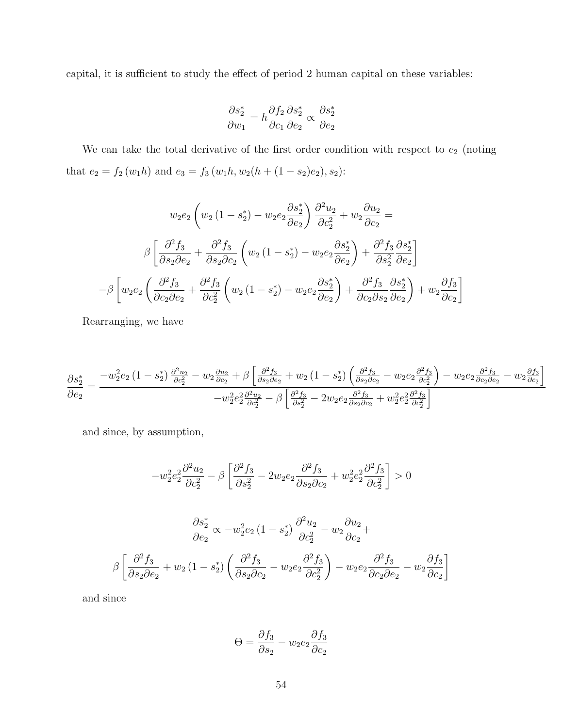capital, it is sufficient to study the effect of period 2 human capital on these variables:

$$
\frac{\partial s_2^*}{\partial w_1} = h \frac{\partial f_2}{\partial c_1} \frac{\partial s_2^*}{\partial e_2} \propto \frac{\partial s_2^*}{\partial e_2}
$$

We can take the total derivative of the first order condition with respect to  $e_2$  (noting that  $e_2 = f_2(w_1h)$  and  $e_3 = f_3(w_1h, w_2(h + (1 - s_2)e_2), s_2)$ :

$$
w_2 e_2 \left( w_2 \left( 1 - s_2^* \right) - w_2 e_2 \frac{\partial s_2^*}{\partial e_2} \right) \frac{\partial^2 u_2}{\partial c_2^2} + w_2 \frac{\partial u_2}{\partial c_2} =
$$

$$
\beta \left[ \frac{\partial^2 f_3}{\partial s_2 \partial e_2} + \frac{\partial^2 f_3}{\partial s_2 \partial c_2} \left( w_2 \left( 1 - s_2^* \right) - w_2 e_2 \frac{\partial s_2^*}{\partial e_2} \right) + \frac{\partial^2 f_3}{\partial s_2^2} \frac{\partial s_2^*}{\partial e_2} \right]
$$

$$
-\beta \left[ w_2 e_2 \left( \frac{\partial^2 f_3}{\partial c_2 \partial e_2} + \frac{\partial^2 f_3}{\partial c_2^2} \left( w_2 \left( 1 - s_2^* \right) - w_2 e_2 \frac{\partial s_2^*}{\partial e_2} \right) + \frac{\partial^2 f_3}{\partial c_2 \partial s_2} \frac{\partial s_2^*}{\partial e_2} \right) + w_2 \frac{\partial f_3}{\partial c_2} \right]
$$

Rearranging, we have

$$
\frac{\partial s_2^*}{\partial e_2} = \frac{-w_2^2 e_2 \left(1 - s_2^*\right) \frac{\partial^2 u_2}{\partial c_2^2} - w_2 \frac{\partial u_2}{\partial c_2} + \beta \left[\frac{\partial^2 f_3}{\partial s_2 \partial e_2} + w_2 \left(1 - s_2^*\right) \left(\frac{\partial^2 f_3}{\partial s_2 \partial c_2} - w_2 e_2 \frac{\partial^2 f_3}{\partial c_2^2}\right) - w_2 e_2 \frac{\partial^2 f_3}{\partial c_2 \partial e_2} - w_2 \frac{\partial f_3}{\partial c_2}\right]}{-w_2^2 e_2^2 \frac{\partial^2 u_2}{\partial c_2^2} - \beta \left[\frac{\partial^2 f_3}{\partial s_2^2} - 2 w_2 e_2 \frac{\partial^2 f_3}{\partial s_2 \partial c_2} + w_2^2 e_2^2 \frac{\partial^2 f_3}{\partial c_2^2}\right]}
$$

and since, by assumption,

$$
-w_2^2 e_2^2 \frac{\partial^2 u_2}{\partial c_2^2} - \beta \left[ \frac{\partial^2 f_3}{\partial s_2^2} - 2w_2 e_2 \frac{\partial^2 f_3}{\partial s_2 \partial c_2} + w_2^2 e_2^2 \frac{\partial^2 f_3}{\partial c_2^2} \right] > 0
$$

$$
\frac{\partial s_2^*}{\partial e_2} \propto -w_2^2 e_2 \left(1 - s_2^*\right) \frac{\partial^2 u_2}{\partial c_2^2} - w_2 \frac{\partial u_2}{\partial c_2} +
$$

$$
\beta \left[ \frac{\partial^2 f_3}{\partial s_2 \partial e_2} + w_2 \left(1 - s_2^*\right) \left( \frac{\partial^2 f_3}{\partial s_2 \partial c_2} - w_2 e_2 \frac{\partial^2 f_3}{\partial c_2^2} \right) - w_2 e_2 \frac{\partial^2 f_3}{\partial c_2 \partial e_2} - w_2 \frac{\partial f_3}{\partial c_2} \right]
$$

and since

$$
\Theta = \frac{\partial f_3}{\partial s_2} - w_2 e_2 \frac{\partial f_3}{\partial c_2}
$$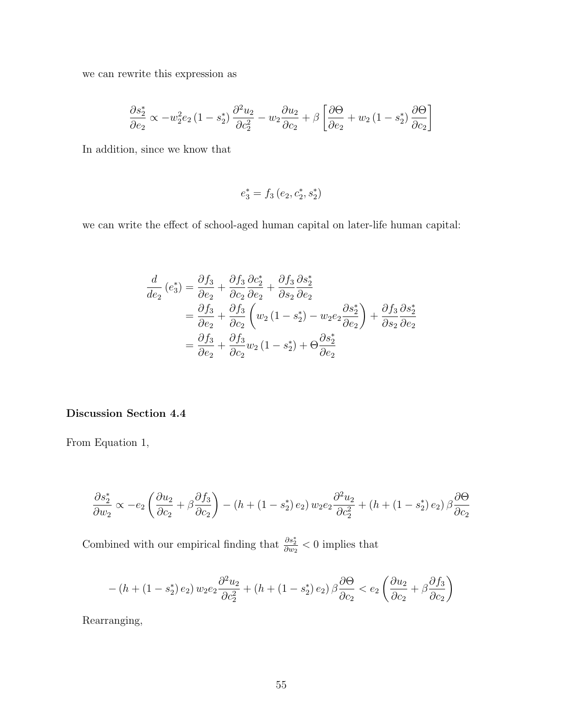we can rewrite this expression as

$$
\frac{\partial s_2^*}{\partial e_2} \propto -w_2^2 e_2 \left(1 - s_2^*\right) \frac{\partial^2 u_2}{\partial c_2^2} - w_2 \frac{\partial u_2}{\partial c_2} + \beta \left[\frac{\partial \Theta}{\partial e_2} + w_2 \left(1 - s_2^*\right) \frac{\partial \Theta}{\partial c_2}\right]
$$

In addition, since we know that

$$
e_3^* = f_3\left(e_2, c_2^*, s_2^*\right)
$$

we can write the effect of school-aged human capital on later-life human capital:

$$
\frac{d}{de_2} (e_3^*) = \frac{\partial f_3}{\partial e_2} + \frac{\partial f_3}{\partial c_2} \frac{\partial c_2^*}{\partial e_2} + \frac{\partial f_3}{\partial s_2} \frac{\partial s_2^*}{\partial e_2}
$$
\n
$$
= \frac{\partial f_3}{\partial e_2} + \frac{\partial f_3}{\partial c_2} \left( w_2 (1 - s_2^*) - w_2 e_2 \frac{\partial s_2^*}{\partial e_2} \right) + \frac{\partial f_3}{\partial s_2} \frac{\partial s_2^*}{\partial e_2}
$$
\n
$$
= \frac{\partial f_3}{\partial e_2} + \frac{\partial f_3}{\partial c_2} w_2 (1 - s_2^*) + \Theta \frac{\partial s_2^*}{\partial e_2}
$$

### Discussion Section 4.4

From Equation 1,

$$
\frac{\partial s_2^*}{\partial w_2} \propto -e_2 \left( \frac{\partial u_2}{\partial c_2} + \beta \frac{\partial f_3}{\partial c_2} \right) - \left( h + \left( 1 - s_2^* \right) e_2 \right) w_2 e_2 \frac{\partial^2 u_2}{\partial c_2^2} + \left( h + \left( 1 - s_2^* \right) e_2 \right) \beta \frac{\partial \Theta}{\partial c_2}
$$

Combined with our empirical finding that  $\frac{\partial s_2^*}{\partial w_2} < 0$  implies that

$$
-\left(h+\left(1-s_{2}^{*}\right)e_{2}\right)w_{2}e_{2}\frac{\partial^{2}u_{2}}{\partial c_{2}^{2}}+\left(h+\left(1-s_{2}^{*}\right)e_{2}\right)\beta\frac{\partial\Theta}{\partial c_{2}}
$$

Rearranging,